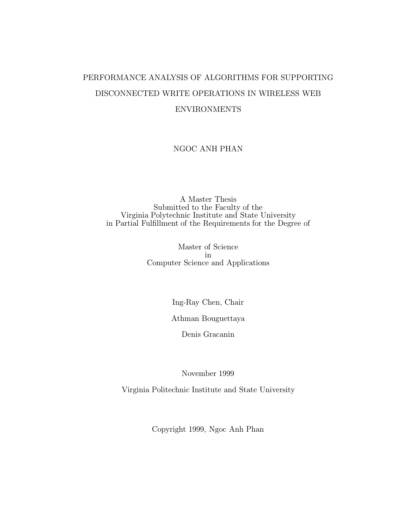## PERFORMANCE ANALYSIS OF ALGORITHMS FOR SUPPORTING DISCONNECTED WRITE OPERATIONS IN WIRELESS WEB ENVIRONMENTS

## NGOC ANH PHAN

A Master Thesis Submitted to the Faculty of the Virginia Polytechnic Institute and State University in Partial Fulfillment of the Requirements for the Degree of

> Master of Science in Computer Science and Applications

> > Ing-Ray Chen, Chair

Athman Bouguettaya

Denis Gracanin

November 1999

Virginia Politechnic Institute and State University

Copyright 1999, Ngoc Anh Phan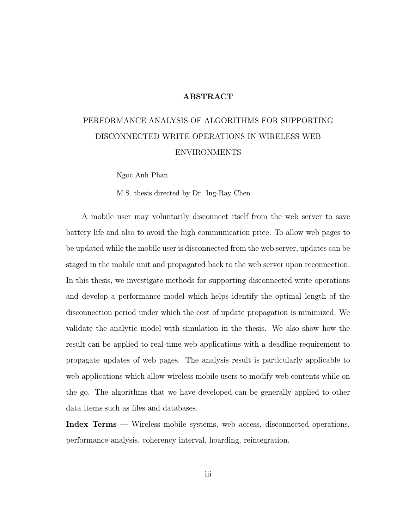#### ABSTRACT

## PERFORMANCE ANALYSIS OF ALGORITHMS FOR SUPPORTING DISCONNECTED WRITE OPERATIONS IN WIRELESS WEB ENVIRONMENTS

Ngoc Anh Phan

M.S. thesis directed by Dr. Ing-Ray Chen

A mobile user may voluntarily disconnect itself from the web server to save battery life and also to avoid the high communication price. To allow web pages to be updated while the mobile user is disconnected from the web server, updates can be staged in the mobile unit and propagated back to the web server upon reconnection. In this thesis, we investigate methods for supporting disconnected write operations and develop a performance model which helps identify the optimal length of the disconnection period under which the cost of update propagation is minimized. We validate the analytic model with simulation in the thesis. We also show how the result can be applied to real-time web applications with a deadline requirement to propagate updates of web pages. The analysis result is particularly applicable to web applications which allow wireless mobile users to modify web contents while on the go. The algorithms that we have developed can be generally applied to other data items such as files and databases.

Index Terms — Wireless mobile systems, web access, disconnected operations, performance analysis, coherency interval, hoarding, reintegration.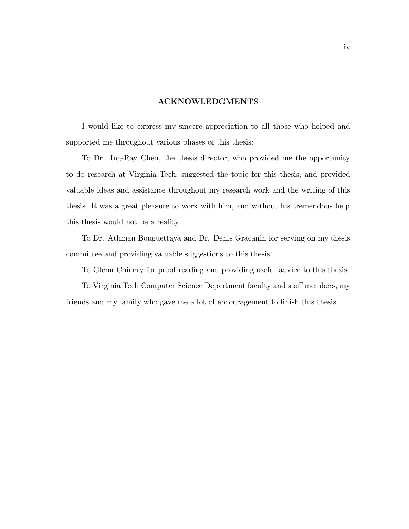#### ACKNOWLEDGMENTS

I would like to express my sincere appreciation to all those who helped and supported me throughout various phases of this thesis:

To Dr. Ing-Ray Chen, the thesis director, who provided me the opportunity to do research at Virginia Tech, suggested the topic for this thesis, and provided valuable ideas and assistance throughout my research work and the writing of this thesis. It was a great pleasure to work with him, and without his tremendous help this thesis would not be a reality.

To Dr. Athman Bouguettaya and Dr. Denis Gracanin for serving on my thesis committee and providing valuable suggestions to this thesis.

To Glenn Chinery for proof reading and providing useful advice to this thesis.

To Virginia Tech Computer Science Department faculty and staff members, my friends and my family who gave me a lot of encouragement to finish this thesis.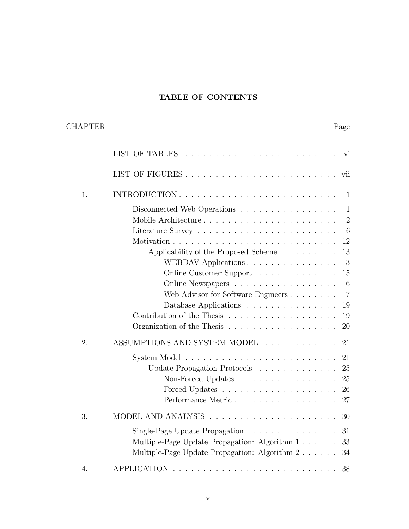## TABLE OF CONTENTS

## CHAPTER Page

|    | V1                                                                           |
|----|------------------------------------------------------------------------------|
|    | vii                                                                          |
| 1. | INTRODUCTION<br>$\mathbf{1}$                                                 |
|    | Disconnected Web Operations<br>$\mathbf{1}$                                  |
|    | $\overline{2}$                                                               |
|    | 6                                                                            |
|    | 12<br>Motivation.                                                            |
|    | Applicability of the Proposed Scheme<br>13                                   |
|    | WEBDAV Applications<br>13                                                    |
|    | Online Customer Support<br>15                                                |
|    | 16<br>Online Newspapers                                                      |
|    | Web Advisor for Software Engineers<br>17                                     |
|    | Database Applications<br>19                                                  |
|    | Contribution of the Thesis<br>19                                             |
|    | Organization of the Thesis $\ldots \ldots \ldots \ldots \ldots \ldots$<br>20 |
| 2. | ASSUMPTIONS AND SYSTEM MODEL<br>21                                           |
|    | 21                                                                           |
|    | Update Propagation Protocols<br>25                                           |
|    | Non-Forced Updates<br>25                                                     |
|    | 26                                                                           |
|    | Performance Metric<br>27                                                     |
| 3. | 30                                                                           |
|    | Single-Page Update Propagation<br>31                                         |
|    | Multiple-Page Update Propagation: Algorithm 1<br>33                          |
|    | Multiple-Page Update Propagation: Algorithm 2<br>34                          |
| 4. | 38                                                                           |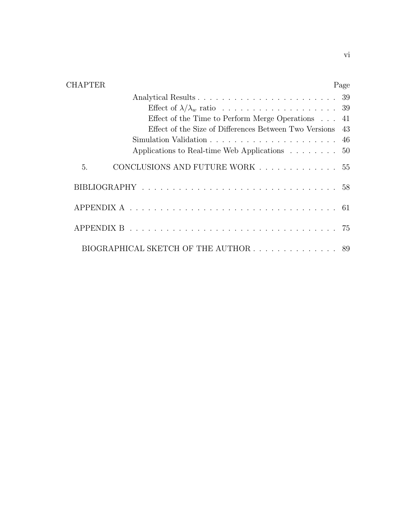| <b>CHAPTER</b>                                                                                      | Page |
|-----------------------------------------------------------------------------------------------------|------|
|                                                                                                     |      |
|                                                                                                     |      |
| Effect of the Time to Perform Merge Operations $\ldots$ 41                                          |      |
| Effect of the Size of Differences Between Two Versions 43                                           |      |
|                                                                                                     |      |
| Applications to Real-time Web Applications                                                          | 50   |
| CONCLUSIONS AND FUTURE WORK 55<br>5.                                                                |      |
|                                                                                                     |      |
| APPENDIX A $\ldots \ldots \ldots \ldots \ldots \ldots \ldots \ldots \ldots \ldots \ldots \ldots 61$ |      |
|                                                                                                     |      |
| BIOGRAPHICAL SKETCH OF THE AUTHOR 89                                                                |      |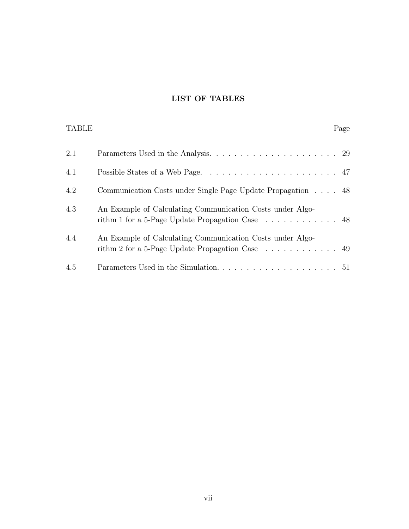## LIST OF TABLES

TABLE Page

| 2.1 |                                                                                                                                     |  |
|-----|-------------------------------------------------------------------------------------------------------------------------------------|--|
| 4.1 |                                                                                                                                     |  |
| 4.2 | Communication Costs under Single Page Update Propagation 48                                                                         |  |
| 4.3 | An Example of Calculating Communication Costs under Algo-<br>rithm 1 for a 5-Page Update Propagation Case 48                        |  |
| 4.4 | An Example of Calculating Communication Costs under Algo-<br>rithm 2 for a 5-Page Update Propagation Case $\dots \dots \dots \dots$ |  |
| 4.5 |                                                                                                                                     |  |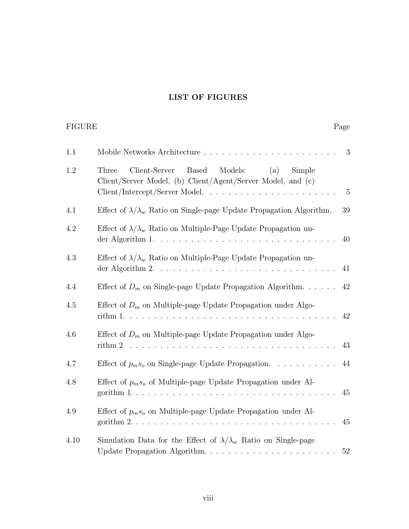## LIST OF FIGURES

FIGURE Page

| 1.1  | 3                                                                                                                                                                             |    |  |  |
|------|-------------------------------------------------------------------------------------------------------------------------------------------------------------------------------|----|--|--|
| 1.2  | Client-Server<br><b>Based</b><br>Models:<br>(a)<br>Three<br>Simple<br>Client/Server Model, (b) Client/Agent/Server Model, and (c)                                             | 5  |  |  |
| 4.1  | Effect of $\lambda/\lambda_w$ Ratio on Single-page Update Propagation Algorithm.<br>39                                                                                        |    |  |  |
| 4.2  | Effect of $\lambda/\lambda_w$ Ratio on Multiple-Page Update Propagation un-<br>der Algorithm 1. $\ldots \ldots \ldots \ldots \ldots \ldots \ldots \ldots \ldots \ldots$<br>40 |    |  |  |
| 4.3  | Effect of $\lambda/\lambda_w$ Ratio on Multiple-Page Update Propagation un-<br>41                                                                                             |    |  |  |
| 4.4  | Effect of $D_m$ on Single-page Update Propagation Algorithm.<br>42                                                                                                            |    |  |  |
| 4.5  | Effect of $D_m$ on Multiple-page Update Propagation under Algo-<br>42                                                                                                         |    |  |  |
| 4.6  | Effect of $D_m$ on Multiple-page Update Propagation under Algo-<br>43<br>rithm 2                                                                                              |    |  |  |
| 4.7  | Effect of $p_m s_o$ on Single-page Update Propagation.                                                                                                                        |    |  |  |
| 4.8  | Effect of $p_m s_o$ of Multiple-page Update Propagation under Al-<br>45                                                                                                       |    |  |  |
| 4.9  | Effect of $p_m s_o$ on Multiple-page Update Propagation under Al-<br>gorithm $2. \ldots \ldots \ldots \ldots \ldots \ldots \ldots \ldots \ldots \ldots \ldots \ldots$<br>45   |    |  |  |
| 4.10 | Simulation Data for the Effect of $\lambda/\lambda_w$ Ratio on Single-page                                                                                                    | 52 |  |  |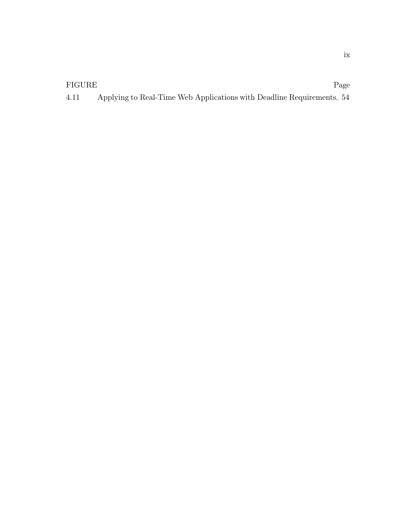## FIGURE Page

| 4.11 |  | Applying to Real-Time Web Applications with Deadline Requirements. 54 |
|------|--|-----------------------------------------------------------------------|
|      |  |                                                                       |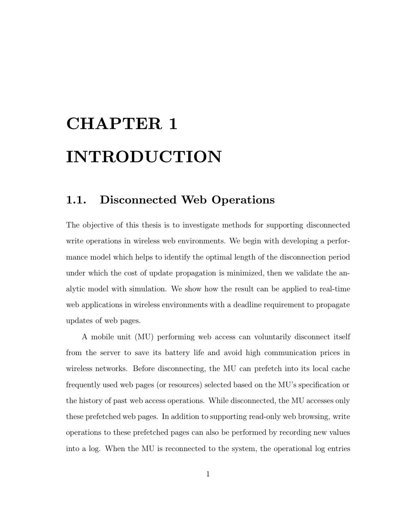# CHAPTER 1 INTRODUCTION

## 1.1. Disconnected Web Operations

The objective of this thesis is to investigate methods for supporting disconnected write operations in wireless web environments. We begin with developing a performance model which helps to identify the optimal length of the disconnection period under which the cost of update propagation is minimized, then we validate the analytic model with simulation. We show how the result can be applied to real-time web applications in wireless environments with a deadline requirement to propagate updates of web pages.

A mobile unit (MU) performing web access can voluntarily disconnect itself from the server to save its battery life and avoid high communication prices in wireless networks. Before disconnecting, the MU can prefetch into its local cache frequently used web pages (or resources) selected based on the MU's specification or the history of past web access operations. While disconnected, the MU accesses only these prefetched web pages. In addition to supporting read-only web browsing, write operations to these prefetched pages can also be performed by recording new values into a log. When the MU is reconnected to the system, the operational log entries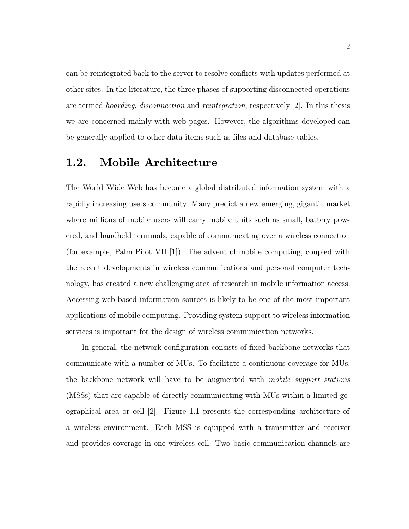can be reintegrated back to the server to resolve conflicts with updates performed at other sites. In the literature, the three phases of supporting disconnected operations are termed hoarding, disconnection and reintegration, respectively [2]. In this thesis we are concerned mainly with web pages. However, the algorithms developed can be generally applied to other data items such as files and database tables.

## 1.2. Mobile Architecture

The World Wide Web has become a global distributed information system with a rapidly increasing users community. Many predict a new emerging, gigantic market where millions of mobile users will carry mobile units such as small, battery powered, and handheld terminals, capable of communicating over a wireless connection (for example, Palm Pilot VII [1]). The advent of mobile computing, coupled with the recent developments in wireless communications and personal computer technology, has created a new challenging area of research in mobile information access. Accessing web based information sources is likely to be one of the most important applications of mobile computing. Providing system support to wireless information services is important for the design of wireless communication networks.

In general, the network configuration consists of fixed backbone networks that communicate with a number of MUs. To facilitate a continuous coverage for MUs, the backbone network will have to be augmented with mobile support stations (MSSs) that are capable of directly communicating with MUs within a limited geographical area or cell [2]. Figure 1.1 presents the corresponding architecture of a wireless environment. Each MSS is equipped with a transmitter and receiver and provides coverage in one wireless cell. Two basic communication channels are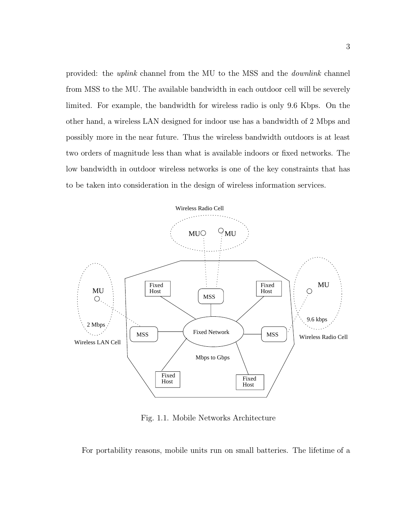provided: the uplink channel from the MU to the MSS and the downlink channel from MSS to the MU. The available bandwidth in each outdoor cell will be severely limited. For example, the bandwidth for wireless radio is only 9.6 Kbps. On the other hand, a wireless LAN designed for indoor use has a bandwidth of 2 Mbps and possibly more in the near future. Thus the wireless bandwidth outdoors is at least two orders of magnitude less than what is available indoors or fixed networks. The low bandwidth in outdoor wireless networks is one of the key constraints that has to be taken into consideration in the design of wireless information services.



Fig. 1.1. Mobile Networks Architecture

For portability reasons, mobile units run on small batteries. The lifetime of a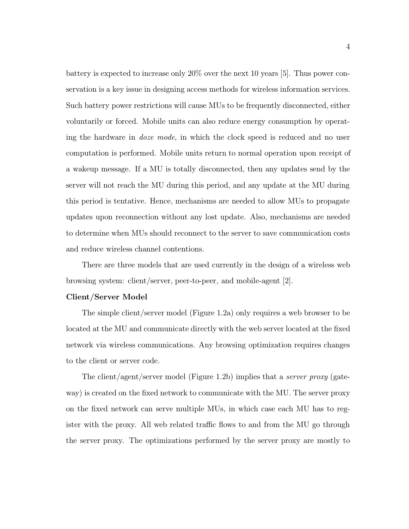battery is expected to increase only 20% over the next 10 years [5]. Thus power conservation is a key issue in designing access methods for wireless information services. Such battery power restrictions will cause MUs to be frequently disconnected, either voluntarily or forced. Mobile units can also reduce energy consumption by operating the hardware in doze mode, in which the clock speed is reduced and no user computation is performed. Mobile units return to normal operation upon receipt of a wakeup message. If a MU is totally disconnected, then any updates send by the server will not reach the MU during this period, and any update at the MU during this period is tentative. Hence, mechanisms are needed to allow MUs to propagate updates upon reconnection without any lost update. Also, mechanisms are needed to determine when MUs should reconnect to the server to save communication costs and reduce wireless channel contentions.

There are three models that are used currently in the design of a wireless web browsing system: client/server, peer-to-peer, and mobile-agent [2].

#### Client/Server Model

The simple client/server model (Figure 1.2a) only requires a web browser to be located at the MU and communicate directly with the web server located at the fixed network via wireless communications. Any browsing optimization requires changes to the client or server code.

The client/agent/server model (Figure 1.2b) implies that a *server proxy* (gateway) is created on the fixed network to communicate with the MU. The server proxy on the fixed network can serve multiple MUs, in which case each MU has to register with the proxy. All web related traffic flows to and from the MU go through the server proxy. The optimizations performed by the server proxy are mostly to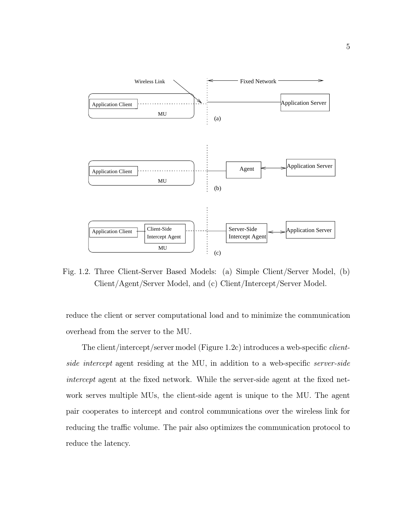

Fig. 1.2. Three Client-Server Based Models: (a) Simple Client/Server Model, (b) Client/Agent/Server Model, and (c) Client/Intercept/Server Model.

reduce the client or server computational load and to minimize the communication overhead from the server to the MU.

The client/intercept/server model (Figure 1.2c) introduces a web-specific clientside intercept agent residing at the MU, in addition to a web-specific server-side intercept agent at the fixed network. While the server-side agent at the fixed network serves multiple MUs, the client-side agent is unique to the MU. The agent pair cooperates to intercept and control communications over the wireless link for reducing the traffic volume. The pair also optimizes the communication protocol to reduce the latency.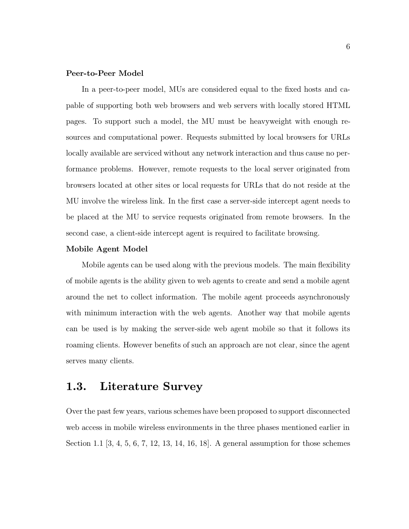## Peer-to-Peer Model

In a peer-to-peer model, MUs are considered equal to the fixed hosts and capable of supporting both web browsers and web servers with locally stored HTML pages. To support such a model, the MU must be heavyweight with enough resources and computational power. Requests submitted by local browsers for URLs locally available are serviced without any network interaction and thus cause no performance problems. However, remote requests to the local server originated from browsers located at other sites or local requests for URLs that do not reside at the MU involve the wireless link. In the first case a server-side intercept agent needs to be placed at the MU to service requests originated from remote browsers. In the second case, a client-side intercept agent is required to facilitate browsing.

#### Mobile Agent Model

Mobile agents can be used along with the previous models. The main flexibility of mobile agents is the ability given to web agents to create and send a mobile agent around the net to collect information. The mobile agent proceeds asynchronously with minimum interaction with the web agents. Another way that mobile agents can be used is by making the server-side web agent mobile so that it follows its roaming clients. However benefits of such an approach are not clear, since the agent serves many clients.

## 1.3. Literature Survey

Over the past few years, various schemes have been proposed to support disconnected web access in mobile wireless environments in the three phases mentioned earlier in Section 1.1 [3, 4, 5, 6, 7, 12, 13, 14, 16, 18]. A general assumption for those schemes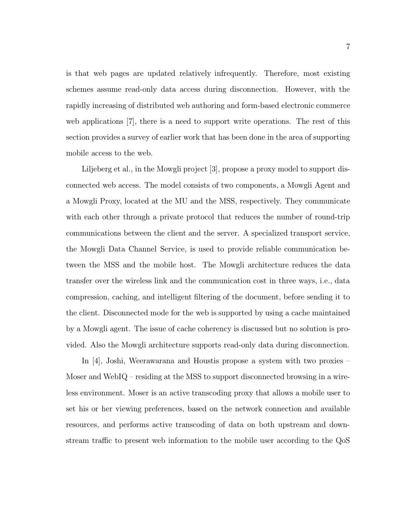is that web pages are updated relatively infrequently. Therefore, most existing schemes assume read-only data access during disconnection. However, with the rapidly increasing of distributed web authoring and form-based electronic commerce web applications [7], there is a need to support write operations. The rest of this section provides a survey of earlier work that has been done in the area of supporting mobile access to the web.

Liljeberg et al., in the Mowgli project [3], propose a proxy model to support disconnected web access. The model consists of two components, a Mowgli Agent and a Mowgli Proxy, located at the MU and the MSS, respectively. They communicate with each other through a private protocol that reduces the number of round-trip communications between the client and the server. A specialized transport service, the Mowgli Data Channel Service, is used to provide reliable communication between the MSS and the mobile host. The Mowgli architecture reduces the data transfer over the wireless link and the communication cost in three ways, i.e., data compression, caching, and intelligent filtering of the document, before sending it to the client. Disconnected mode for the web is supported by using a cache maintained by a Mowgli agent. The issue of cache coherency is discussed but no solution is provided. Also the Mowgli architecture supports read-only data during disconnection.

In [4], Joshi, Weerawarana and Houstis propose a system with two proxies – Moser and WebIQ – residing at the MSS to support disconnected browsing in a wireless environment. Moser is an active transcoding proxy that allows a mobile user to set his or her viewing preferences, based on the network connection and available resources, and performs active transcoding of data on both upstream and downstream traffic to present web information to the mobile user according to the QoS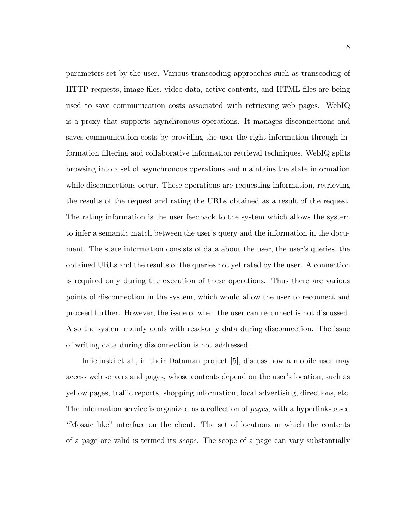parameters set by the user. Various transcoding approaches such as transcoding of HTTP requests, image files, video data, active contents, and HTML files are being used to save communication costs associated with retrieving web pages. WebIQ is a proxy that supports asynchronous operations. It manages disconnections and saves communication costs by providing the user the right information through information filtering and collaborative information retrieval techniques. WebIQ splits browsing into a set of asynchronous operations and maintains the state information while disconnections occur. These operations are requesting information, retrieving the results of the request and rating the URLs obtained as a result of the request. The rating information is the user feedback to the system which allows the system to infer a semantic match between the user's query and the information in the document. The state information consists of data about the user, the user's queries, the obtained URLs and the results of the queries not yet rated by the user. A connection is required only during the execution of these operations. Thus there are various points of disconnection in the system, which would allow the user to reconnect and proceed further. However, the issue of when the user can reconnect is not discussed. Also the system mainly deals with read-only data during disconnection. The issue of writing data during disconnection is not addressed.

Imielinski et al., in their Dataman project [5], discuss how a mobile user may access web servers and pages, whose contents depend on the user's location, such as yellow pages, traffic reports, shopping information, local advertising, directions, etc. The information service is organized as a collection of pages, with a hyperlink-based "Mosaic like" interface on the client. The set of locations in which the contents of a page are valid is termed its scope. The scope of a page can vary substantially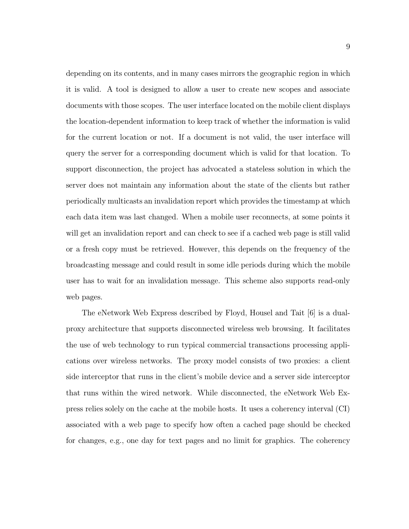depending on its contents, and in many cases mirrors the geographic region in which it is valid. A tool is designed to allow a user to create new scopes and associate documents with those scopes. The user interface located on the mobile client displays the location-dependent information to keep track of whether the information is valid for the current location or not. If a document is not valid, the user interface will query the server for a corresponding document which is valid for that location. To support disconnection, the project has advocated a stateless solution in which the server does not maintain any information about the state of the clients but rather periodically multicasts an invalidation report which provides the timestamp at which each data item was last changed. When a mobile user reconnects, at some points it will get an invalidation report and can check to see if a cached web page is still valid or a fresh copy must be retrieved. However, this depends on the frequency of the broadcasting message and could result in some idle periods during which the mobile user has to wait for an invalidation message. This scheme also supports read-only web pages.

The eNetwork Web Express described by Floyd, Housel and Tait [6] is a dualproxy architecture that supports disconnected wireless web browsing. It facilitates the use of web technology to run typical commercial transactions processing applications over wireless networks. The proxy model consists of two proxies: a client side interceptor that runs in the client's mobile device and a server side interceptor that runs within the wired network. While disconnected, the eNetwork Web Express relies solely on the cache at the mobile hosts. It uses a coherency interval (CI) associated with a web page to specify how often a cached page should be checked for changes, e.g., one day for text pages and no limit for graphics. The coherency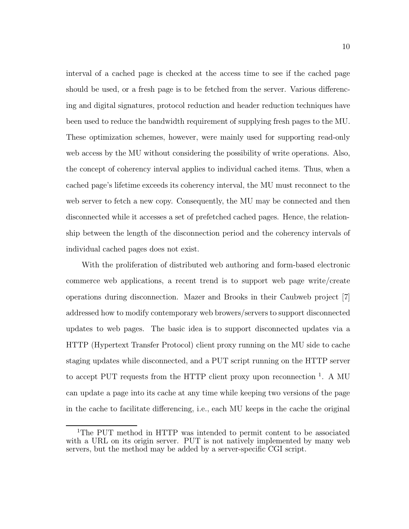interval of a cached page is checked at the access time to see if the cached page should be used, or a fresh page is to be fetched from the server. Various differencing and digital signatures, protocol reduction and header reduction techniques have been used to reduce the bandwidth requirement of supplying fresh pages to the MU. These optimization schemes, however, were mainly used for supporting read-only web access by the MU without considering the possibility of write operations. Also, the concept of coherency interval applies to individual cached items. Thus, when a cached page's lifetime exceeds its coherency interval, the MU must reconnect to the web server to fetch a new copy. Consequently, the MU may be connected and then disconnected while it accesses a set of prefetched cached pages. Hence, the relationship between the length of the disconnection period and the coherency intervals of individual cached pages does not exist.

With the proliferation of distributed web authoring and form-based electronic commerce web applications, a recent trend is to support web page write/create operations during disconnection. Mazer and Brooks in their Caubweb project [7] addressed how to modify contemporary web browers/servers to support disconnected updates to web pages. The basic idea is to support disconnected updates via a HTTP (Hypertext Transfer Protocol) client proxy running on the MU side to cache staging updates while disconnected, and a PUT script running on the HTTP server to accept PUT requests from the HTTP client proxy upon reconnection  $<sup>1</sup>$ . A MU</sup> can update a page into its cache at any time while keeping two versions of the page in the cache to facilitate differencing, i.e., each MU keeps in the cache the original

<sup>1</sup>The PUT method in HTTP was intended to permit content to be associated with a URL on its origin server. PUT is not natively implemented by many web servers, but the method may be added by a server-specific CGI script.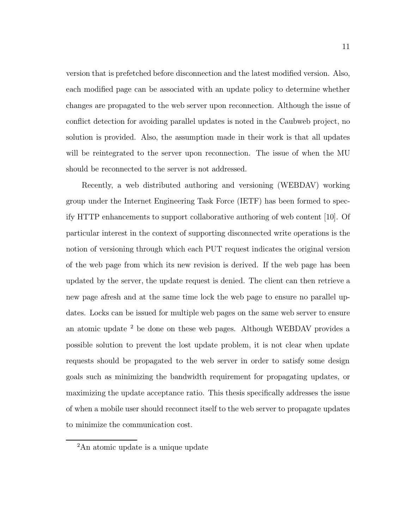version that is prefetched before disconnection and the latest modified version. Also, each modified page can be associated with an update policy to determine whether changes are propagated to the web server upon reconnection. Although the issue of conflict detection for avoiding parallel updates is noted in the Caubweb project, no solution is provided. Also, the assumption made in their work is that all updates will be reintegrated to the server upon reconnection. The issue of when the MU should be reconnected to the server is not addressed.

Recently, a web distributed authoring and versioning (WEBDAV) working group under the Internet Engineering Task Force (IETF) has been formed to specify HTTP enhancements to support collaborative authoring of web content [10]. Of particular interest in the context of supporting disconnected write operations is the notion of versioning through which each PUT request indicates the original version of the web page from which its new revision is derived. If the web page has been updated by the server, the update request is denied. The client can then retrieve a new page afresh and at the same time lock the web page to ensure no parallel updates. Locks can be issued for multiple web pages on the same web server to ensure an atomic update <sup>2</sup> be done on these web pages. Although WEBDAV provides a possible solution to prevent the lost update problem, it is not clear when update requests should be propagated to the web server in order to satisfy some design goals such as minimizing the bandwidth requirement for propagating updates, or maximizing the update acceptance ratio. This thesis specifically addresses the issue of when a mobile user should reconnect itself to the web server to propagate updates to minimize the communication cost.

<sup>2</sup>An atomic update is a unique update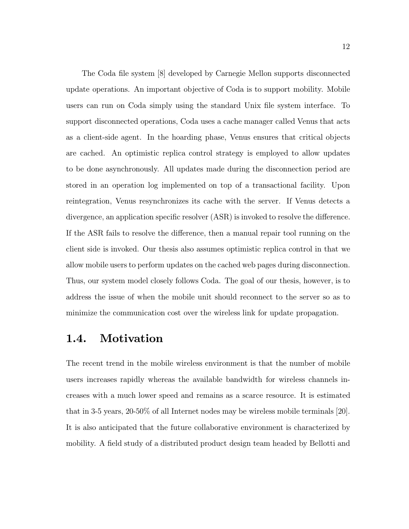The Coda file system [8] developed by Carnegie Mellon supports disconnected update operations. An important objective of Coda is to support mobility. Mobile users can run on Coda simply using the standard Unix file system interface. To support disconnected operations, Coda uses a cache manager called Venus that acts as a client-side agent. In the hoarding phase, Venus ensures that critical objects are cached. An optimistic replica control strategy is employed to allow updates to be done asynchronously. All updates made during the disconnection period are stored in an operation log implemented on top of a transactional facility. Upon reintegration, Venus resynchronizes its cache with the server. If Venus detects a divergence, an application specific resolver (ASR) is invoked to resolve the difference. If the ASR fails to resolve the difference, then a manual repair tool running on the client side is invoked. Our thesis also assumes optimistic replica control in that we allow mobile users to perform updates on the cached web pages during disconnection. Thus, our system model closely follows Coda. The goal of our thesis, however, is to address the issue of when the mobile unit should reconnect to the server so as to minimize the communication cost over the wireless link for update propagation.

## 1.4. Motivation

The recent trend in the mobile wireless environment is that the number of mobile users increases rapidly whereas the available bandwidth for wireless channels increases with a much lower speed and remains as a scarce resource. It is estimated that in 3-5 years, 20-50% of all Internet nodes may be wireless mobile terminals [20]. It is also anticipated that the future collaborative environment is characterized by mobility. A field study of a distributed product design team headed by Bellotti and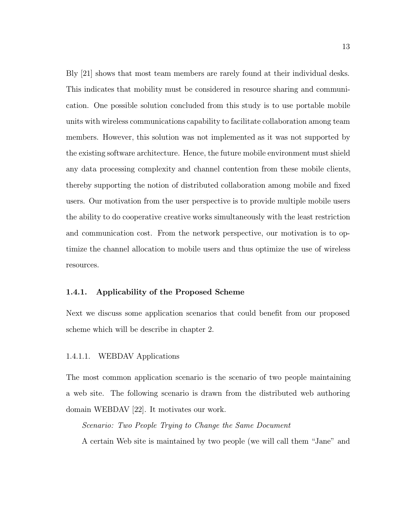Bly [21] shows that most team members are rarely found at their individual desks. This indicates that mobility must be considered in resource sharing and communication. One possible solution concluded from this study is to use portable mobile units with wireless communications capability to facilitate collaboration among team members. However, this solution was not implemented as it was not supported by the existing software architecture. Hence, the future mobile environment must shield any data processing complexity and channel contention from these mobile clients, thereby supporting the notion of distributed collaboration among mobile and fixed users. Our motivation from the user perspective is to provide multiple mobile users the ability to do cooperative creative works simultaneously with the least restriction and communication cost. From the network perspective, our motivation is to optimize the channel allocation to mobile users and thus optimize the use of wireless resources.

### 1.4.1. Applicability of the Proposed Scheme

Next we discuss some application scenarios that could benefit from our proposed scheme which will be describe in chapter 2.

### 1.4.1.1. WEBDAV Applications

The most common application scenario is the scenario of two people maintaining a web site. The following scenario is drawn from the distributed web authoring domain WEBDAV [22]. It motivates our work.

Scenario: Two People Trying to Change the Same Document A certain Web site is maintained by two people (we will call them "Jane" and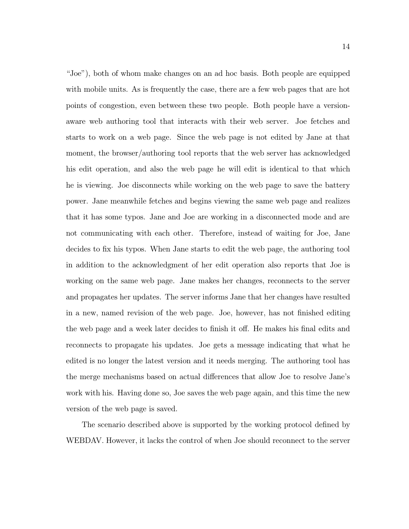"Joe"), both of whom make changes on an ad hoc basis. Both people are equipped with mobile units. As is frequently the case, there are a few web pages that are hot points of congestion, even between these two people. Both people have a versionaware web authoring tool that interacts with their web server. Joe fetches and starts to work on a web page. Since the web page is not edited by Jane at that moment, the browser/authoring tool reports that the web server has acknowledged his edit operation, and also the web page he will edit is identical to that which he is viewing. Joe disconnects while working on the web page to save the battery power. Jane meanwhile fetches and begins viewing the same web page and realizes that it has some typos. Jane and Joe are working in a disconnected mode and are not communicating with each other. Therefore, instead of waiting for Joe, Jane decides to fix his typos. When Jane starts to edit the web page, the authoring tool in addition to the acknowledgment of her edit operation also reports that Joe is working on the same web page. Jane makes her changes, reconnects to the server and propagates her updates. The server informs Jane that her changes have resulted in a new, named revision of the web page. Joe, however, has not finished editing the web page and a week later decides to finish it off. He makes his final edits and reconnects to propagate his updates. Joe gets a message indicating that what he edited is no longer the latest version and it needs merging. The authoring tool has the merge mechanisms based on actual differences that allow Joe to resolve Jane's work with his. Having done so, Joe saves the web page again, and this time the new version of the web page is saved.

The scenario described above is supported by the working protocol defined by WEBDAV. However, it lacks the control of when Joe should reconnect to the server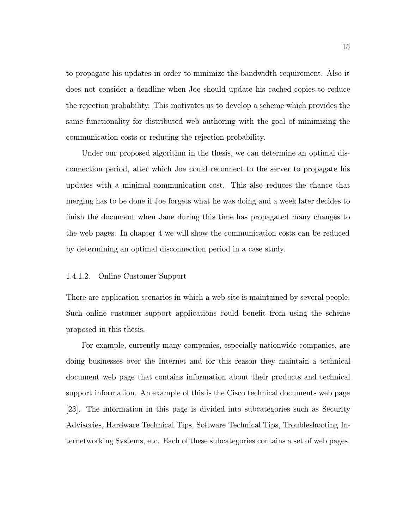to propagate his updates in order to minimize the bandwidth requirement. Also it does not consider a deadline when Joe should update his cached copies to reduce the rejection probability. This motivates us to develop a scheme which provides the same functionality for distributed web authoring with the goal of minimizing the communication costs or reducing the rejection probability.

Under our proposed algorithm in the thesis, we can determine an optimal disconnection period, after which Joe could reconnect to the server to propagate his updates with a minimal communication cost. This also reduces the chance that merging has to be done if Joe forgets what he was doing and a week later decides to finish the document when Jane during this time has propagated many changes to the web pages. In chapter 4 we will show the communication costs can be reduced by determining an optimal disconnection period in a case study.

#### 1.4.1.2. Online Customer Support

There are application scenarios in which a web site is maintained by several people. Such online customer support applications could benefit from using the scheme proposed in this thesis.

For example, currently many companies, especially nationwide companies, are doing businesses over the Internet and for this reason they maintain a technical document web page that contains information about their products and technical support information. An example of this is the Cisco technical documents web page [23]. The information in this page is divided into subcategories such as Security Advisories, Hardware Technical Tips, Software Technical Tips, Troubleshooting Internetworking Systems, etc. Each of these subcategories contains a set of web pages.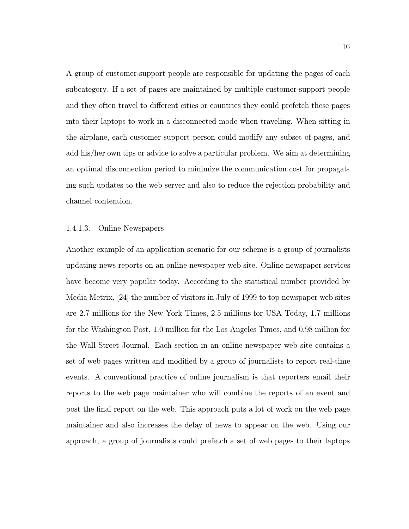A group of customer-support people are responsible for updating the pages of each subcategory. If a set of pages are maintained by multiple customer-support people and they often travel to different cities or countries they could prefetch these pages into their laptops to work in a disconnected mode when traveling. When sitting in the airplane, each customer support person could modify any subset of pages, and add his/her own tips or advice to solve a particular problem. We aim at determining an optimal disconnection period to minimize the communication cost for propagating such updates to the web server and also to reduce the rejection probability and channel contention.

#### 1.4.1.3. Online Newspapers

Another example of an application scenario for our scheme is a group of journalists updating news reports on an online newspaper web site. Online newspaper services have become very popular today. According to the statistical number provided by Media Metrix, [24] the number of visitors in July of 1999 to top newspaper web sites are 2.7 millions for the New York Times, 2.5 millions for USA Today, 1.7 millions for the Washington Post, 1.0 million for the Los Angeles Times, and 0.98 million for the Wall Street Journal. Each section in an online newspaper web site contains a set of web pages written and modified by a group of journalists to report real-time events. A conventional practice of online journalism is that reporters email their reports to the web page maintainer who will combine the reports of an event and post the final report on the web. This approach puts a lot of work on the web page maintainer and also increases the delay of news to appear on the web. Using our approach, a group of journalists could prefetch a set of web pages to their laptops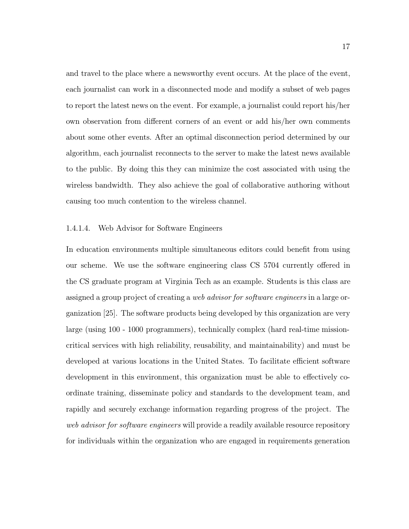and travel to the place where a newsworthy event occurs. At the place of the event, each journalist can work in a disconnected mode and modify a subset of web pages to report the latest news on the event. For example, a journalist could report his/her own observation from different corners of an event or add his/her own comments about some other events. After an optimal disconnection period determined by our algorithm, each journalist reconnects to the server to make the latest news available to the public. By doing this they can minimize the cost associated with using the wireless bandwidth. They also achieve the goal of collaborative authoring without causing too much contention to the wireless channel.

#### 1.4.1.4. Web Advisor for Software Engineers

In education environments multiple simultaneous editors could benefit from using our scheme. We use the software engineering class CS 5704 currently offered in the CS graduate program at Virginia Tech as an example. Students is this class are assigned a group project of creating a web advisor for software engineers in a large organization [25]. The software products being developed by this organization are very large (using 100 - 1000 programmers), technically complex (hard real-time missioncritical services with high reliability, reusability, and maintainability) and must be developed at various locations in the United States. To facilitate efficient software development in this environment, this organization must be able to effectively coordinate training, disseminate policy and standards to the development team, and rapidly and securely exchange information regarding progress of the project. The web advisor for software engineers will provide a readily available resource repository for individuals within the organization who are engaged in requirements generation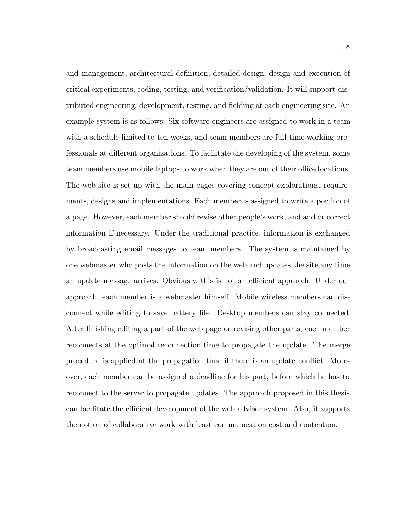and management, architectural definition, detailed design, design and execution of critical experiments, coding, testing, and verification/validation. It will support distributed engineering, development, testing, and fielding at each engineering site. An example system is as follows: Six software engineers are assigned to work in a team with a schedule limited to ten weeks, and team members are full-time working professionals at different organizations. To facilitate the developing of the system, some team members use mobile laptops to work when they are out of their office locations. The web site is set up with the main pages covering concept explorations, requirements, designs and implementations. Each member is assigned to write a portion of a page. However, each member should revise other people's work, and add or correct information if necessary. Under the traditional practice, information is exchanged by broadcasting email messages to team members. The system is maintained by one webmaster who posts the information on the web and updates the site any time an update message arrives. Obviously, this is not an efficient approach. Under our approach, each member is a webmaster himself. Mobile wireless members can disconnect while editing to save battery life. Desktop members can stay connected. After finishing editing a part of the web page or revising other parts, each member reconnects at the optimal reconnection time to propagate the update. The merge procedure is applied at the propagation time if there is an update conflict. Moreover, each member can be assigned a deadline for his part, before which he has to reconnect to the server to propagate updates. The approach proposed in this thesis can facilitate the efficient development of the web advisor system. Also, it supports the notion of collaborative work with least communication cost and contention.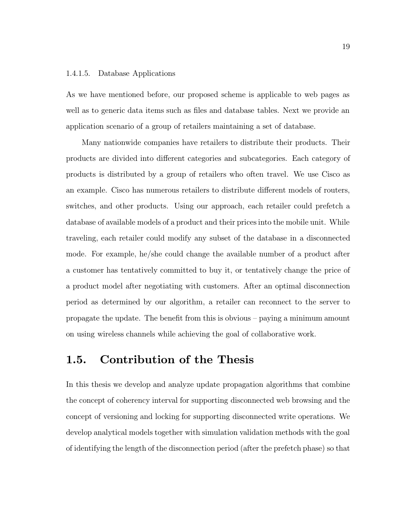#### 1.4.1.5. Database Applications

As we have mentioned before, our proposed scheme is applicable to web pages as well as to generic data items such as files and database tables. Next we provide an application scenario of a group of retailers maintaining a set of database.

Many nationwide companies have retailers to distribute their products. Their products are divided into different categories and subcategories. Each category of products is distributed by a group of retailers who often travel. We use Cisco as an example. Cisco has numerous retailers to distribute different models of routers, switches, and other products. Using our approach, each retailer could prefetch a database of available models of a product and their prices into the mobile unit. While traveling, each retailer could modify any subset of the database in a disconnected mode. For example, he/she could change the available number of a product after a customer has tentatively committed to buy it, or tentatively change the price of a product model after negotiating with customers. After an optimal disconnection period as determined by our algorithm, a retailer can reconnect to the server to propagate the update. The benefit from this is obvious – paying a minimum amount on using wireless channels while achieving the goal of collaborative work.

## 1.5. Contribution of the Thesis

In this thesis we develop and analyze update propagation algorithms that combine the concept of coherency interval for supporting disconnected web browsing and the concept of versioning and locking for supporting disconnected write operations. We develop analytical models together with simulation validation methods with the goal of identifying the length of the disconnection period (after the prefetch phase) so that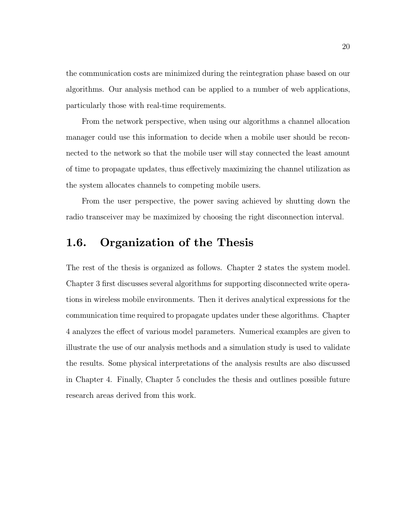the communication costs are minimized during the reintegration phase based on our algorithms. Our analysis method can be applied to a number of web applications, particularly those with real-time requirements.

From the network perspective, when using our algorithms a channel allocation manager could use this information to decide when a mobile user should be reconnected to the network so that the mobile user will stay connected the least amount of time to propagate updates, thus effectively maximizing the channel utilization as the system allocates channels to competing mobile users.

From the user perspective, the power saving achieved by shutting down the radio transceiver may be maximized by choosing the right disconnection interval.

## 1.6. Organization of the Thesis

The rest of the thesis is organized as follows. Chapter 2 states the system model. Chapter 3 first discusses several algorithms for supporting disconnected write operations in wireless mobile environments. Then it derives analytical expressions for the communication time required to propagate updates under these algorithms. Chapter 4 analyzes the effect of various model parameters. Numerical examples are given to illustrate the use of our analysis methods and a simulation study is used to validate the results. Some physical interpretations of the analysis results are also discussed in Chapter 4. Finally, Chapter 5 concludes the thesis and outlines possible future research areas derived from this work.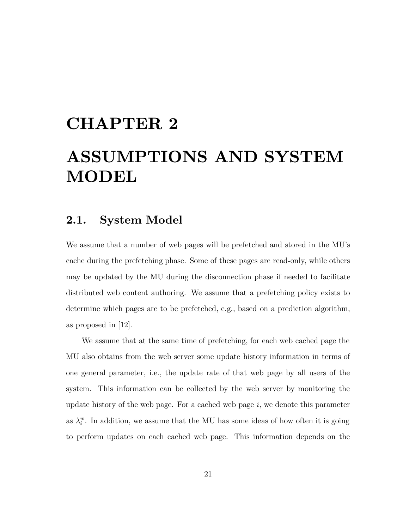## CHAPTER 2

# ASSUMPTIONS AND SYSTEM MODEL

## 2.1. System Model

We assume that a number of web pages will be prefetched and stored in the MU's cache during the prefetching phase. Some of these pages are read-only, while others may be updated by the MU during the disconnection phase if needed to facilitate distributed web content authoring. We assume that a prefetching policy exists to determine which pages are to be prefetched, e.g., based on a prediction algorithm, as proposed in [12].

We assume that at the same time of prefetching, for each web cached page the MU also obtains from the web server some update history information in terms of one general parameter, i.e., the update rate of that web page by all users of the system. This information can be collected by the web server by monitoring the update history of the web page. For a cached web page  $i$ , we denote this parameter as  $\lambda_i^w$ . In addition, we assume that the MU has some ideas of how often it is going to perform updates on each cached web page. This information depends on the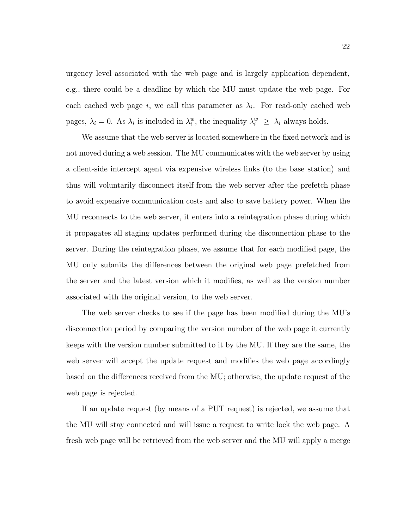urgency level associated with the web page and is largely application dependent, e.g., there could be a deadline by which the MU must update the web page. For each cached web page i, we call this parameter as  $\lambda_i$ . For read-only cached web pages,  $\lambda_i = 0$ . As  $\lambda_i$  is included in  $\lambda_i^w$ , the inequality  $\lambda_i^w \geq \lambda_i$  always holds.

We assume that the web server is located somewhere in the fixed network and is not moved during a web session. The MU communicates with the web server by using a client-side intercept agent via expensive wireless links (to the base station) and thus will voluntarily disconnect itself from the web server after the prefetch phase to avoid expensive communication costs and also to save battery power. When the MU reconnects to the web server, it enters into a reintegration phase during which it propagates all staging updates performed during the disconnection phase to the server. During the reintegration phase, we assume that for each modified page, the MU only submits the differences between the original web page prefetched from the server and the latest version which it modifies, as well as the version number associated with the original version, to the web server.

The web server checks to see if the page has been modified during the MU's disconnection period by comparing the version number of the web page it currently keeps with the version number submitted to it by the MU. If they are the same, the web server will accept the update request and modifies the web page accordingly based on the differences received from the MU; otherwise, the update request of the web page is rejected.

If an update request (by means of a PUT request) is rejected, we assume that the MU will stay connected and will issue a request to write lock the web page. A fresh web page will be retrieved from the web server and the MU will apply a merge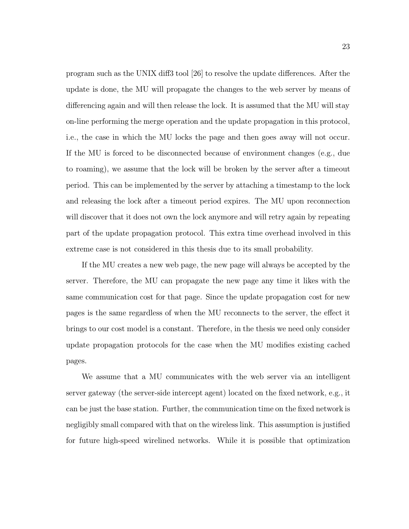program such as the UNIX diff3 tool [26] to resolve the update differences. After the update is done, the MU will propagate the changes to the web server by means of differencing again and will then release the lock. It is assumed that the MU will stay on-line performing the merge operation and the update propagation in this protocol, i.e., the case in which the MU locks the page and then goes away will not occur. If the MU is forced to be disconnected because of environment changes (e.g., due to roaming), we assume that the lock will be broken by the server after a timeout period. This can be implemented by the server by attaching a timestamp to the lock and releasing the lock after a timeout period expires. The MU upon reconnection will discover that it does not own the lock anymore and will retry again by repeating part of the update propagation protocol. This extra time overhead involved in this extreme case is not considered in this thesis due to its small probability.

If the MU creates a new web page, the new page will always be accepted by the server. Therefore, the MU can propagate the new page any time it likes with the same communication cost for that page. Since the update propagation cost for new pages is the same regardless of when the MU reconnects to the server, the effect it brings to our cost model is a constant. Therefore, in the thesis we need only consider update propagation protocols for the case when the MU modifies existing cached pages.

We assume that a MU communicates with the web server via an intelligent server gateway (the server-side intercept agent) located on the fixed network, e.g., it can be just the base station. Further, the communication time on the fixed network is negligibly small compared with that on the wireless link. This assumption is justified for future high-speed wirelined networks. While it is possible that optimization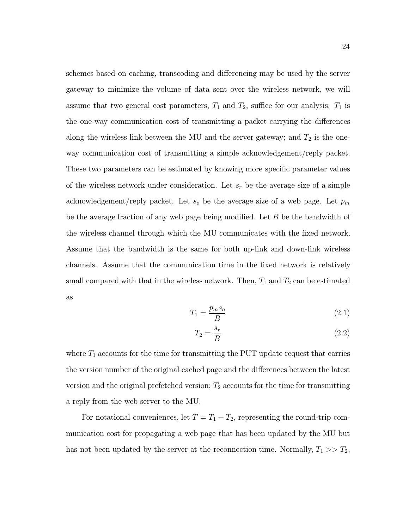schemes based on caching, transcoding and differencing may be used by the server gateway to minimize the volume of data sent over the wireless network, we will assume that two general cost parameters,  $T_1$  and  $T_2$ , suffice for our analysis:  $T_1$  is the one-way communication cost of transmitting a packet carrying the differences along the wireless link between the MU and the server gateway; and  $T_2$  is the oneway communication cost of transmitting a simple acknowledgement/reply packet. These two parameters can be estimated by knowing more specific parameter values of the wireless network under consideration. Let  $s_r$  be the average size of a simple acknowledgement/reply packet. Let  $s_o$  be the average size of a web page. Let  $p_m$ be the average fraction of any web page being modified. Let  $B$  be the bandwidth of the wireless channel through which the MU communicates with the fixed network. Assume that the bandwidth is the same for both up-link and down-link wireless channels. Assume that the communication time in the fixed network is relatively small compared with that in the wireless network. Then,  $T_1$  and  $T_2$  can be estimated as

$$
T_1 = \frac{p_m s_o}{B} \tag{2.1}
$$

$$
T_2 = \frac{s_r}{B} \tag{2.2}
$$

where  $T_1$  accounts for the time for transmitting the PUT update request that carries the version number of the original cached page and the differences between the latest version and the original prefetched version;  $T_2$  accounts for the time for transmitting a reply from the web server to the MU.

For notational conveniences, let  $T = T_1 + T_2$ , representing the round-trip communication cost for propagating a web page that has been updated by the MU but has not been updated by the server at the reconnection time. Normally,  $T_1 >> T_2$ ,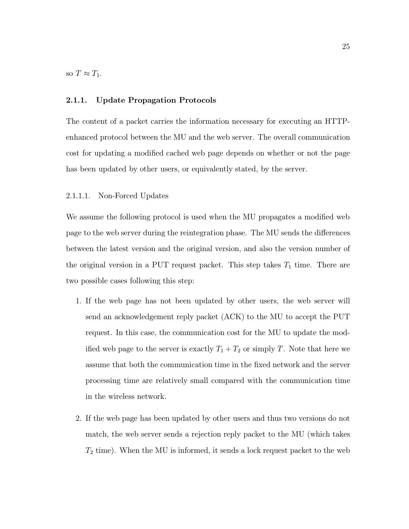so  $T \approx T_1$ .

#### 2.1.1. Update Propagation Protocols

The content of a packet carries the information necessary for executing an HTTPenhanced protocol between the MU and the web server. The overall communication cost for updating a modified cached web page depends on whether or not the page has been updated by other users, or equivalently stated, by the server.

#### 2.1.1.1. Non-Forced Updates

We assume the following protocol is used when the MU propagates a modified web page to the web server during the reintegration phase. The MU sends the differences between the latest version and the original version, and also the version number of the original version in a PUT request packet. This step takes  $T_1$  time. There are two possible cases following this step:

- 1. If the web page has not been updated by other users, the web server will send an acknowledgement reply packet (ACK) to the MU to accept the PUT request. In this case, the communication cost for the MU to update the modified web page to the server is exactly  $T_1 + T_2$  or simply T. Note that here we assume that both the communication time in the fixed network and the server processing time are relatively small compared with the communication time in the wireless network.
- 2. If the web page has been updated by other users and thus two versions do not match, the web server sends a rejection reply packet to the MU (which takes  $T_2$  time). When the MU is informed, it sends a lock request packet to the web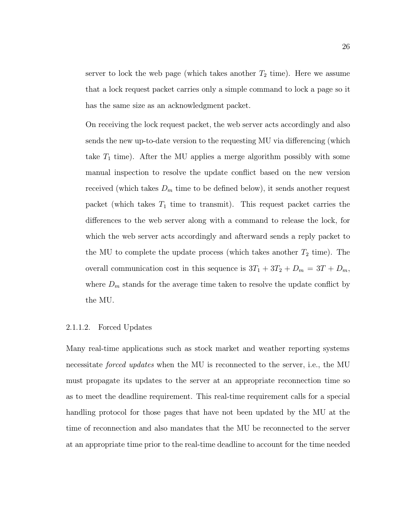server to lock the web page (which takes another  $T_2$  time). Here we assume that a lock request packet carries only a simple command to lock a page so it has the same size as an acknowledgment packet.

On receiving the lock request packet, the web server acts accordingly and also sends the new up-to-date version to the requesting MU via differencing (which take  $T_1$  time). After the MU applies a merge algorithm possibly with some manual inspection to resolve the update conflict based on the new version received (which takes  $D_m$  time to be defined below), it sends another request packet (which takes  $T_1$  time to transmit). This request packet carries the differences to the web server along with a command to release the lock, for which the web server acts accordingly and afterward sends a reply packet to the MU to complete the update process (which takes another  $T_2$  time). The overall communication cost in this sequence is  $3T_1 + 3T_2 + D_m = 3T + D_m$ , where  $D_m$  stands for the average time taken to resolve the update conflict by the MU.

#### 2.1.1.2. Forced Updates

Many real-time applications such as stock market and weather reporting systems necessitate forced updates when the MU is reconnected to the server, i.e., the MU must propagate its updates to the server at an appropriate reconnection time so as to meet the deadline requirement. This real-time requirement calls for a special handling protocol for those pages that have not been updated by the MU at the time of reconnection and also mandates that the MU be reconnected to the server at an appropriate time prior to the real-time deadline to account for the time needed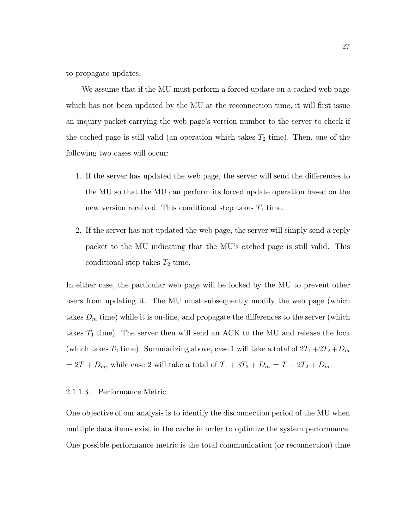to propagate updates.

We assume that if the MU must perform a forced update on a cached web page which has not been updated by the MU at the reconnection time, it will first issue an inquiry packet carrying the web page's version number to the server to check if the cached page is still valid (an operation which takes  $T_2$  time). Then, one of the following two cases will occur:

- 1. If the server has updated the web page, the server will send the differences to the MU so that the MU can perform its forced update operation based on the new version received. This conditional step takes  $T_1$  time.
- 2. If the server has not updated the web page, the server will simply send a reply packet to the MU indicating that the MU's cached page is still valid. This conditional step takes  $T_2$  time.

In either case, the particular web page will be locked by the MU to prevent other users from updating it. The MU must subsequently modify the web page (which takes  $D_m$  time) while it is on-line, and propagate the differences to the server (which takes  $T_1$  time). The server then will send an ACK to the MU and release the lock (which takes  $T_2$  time). Summarizing above, case 1 will take a total of  $2T_1+2T_2+D_m$  $= 2T + D_m$ , while case 2 will take a total of  $T_1 + 3T_2 + D_m = T + 2T_2 + D_m$ .

#### 2.1.1.3. Performance Metric

One objective of our analysis is to identify the disconnection period of the MU when multiple data items exist in the cache in order to optimize the system performance. One possible performance metric is the total communication (or reconnection) time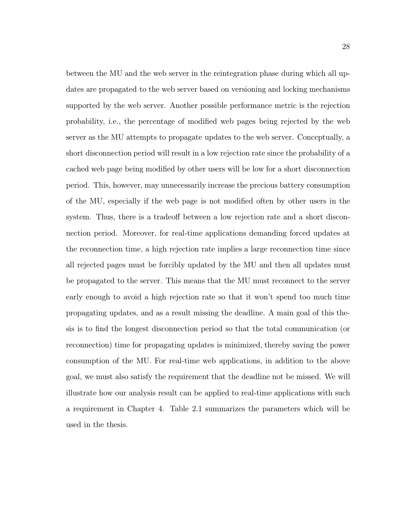between the MU and the web server in the reintegration phase during which all updates are propagated to the web server based on versioning and locking mechanisms supported by the web server. Another possible performance metric is the rejection probability, i.e., the percentage of modified web pages being rejected by the web server as the MU attempts to propagate updates to the web server. Conceptually, a short disconnection period will result in a low rejection rate since the probability of a cached web page being modified by other users will be low for a short disconnection period. This, however, may unnecessarily increase the precious battery consumption of the MU, especially if the web page is not modified often by other users in the system. Thus, there is a tradeoff between a low rejection rate and a short disconnection period. Moreover, for real-time applications demanding forced updates at the reconnection time, a high rejection rate implies a large reconnection time since all rejected pages must be forcibly updated by the MU and then all updates must be propagated to the server. This means that the MU must reconnect to the server early enough to avoid a high rejection rate so that it won't spend too much time propagating updates, and as a result missing the deadline. A main goal of this thesis is to find the longest disconnection period so that the total communication (or reconnection) time for propagating updates is minimized, thereby saving the power consumption of the MU. For real-time web applications, in addition to the above goal, we must also satisfy the requirement that the deadline not be missed. We will illustrate how our analysis result can be applied to real-time applications with such a requirement in Chapter 4. Table 2.1 summarizes the parameters which will be used in the thesis.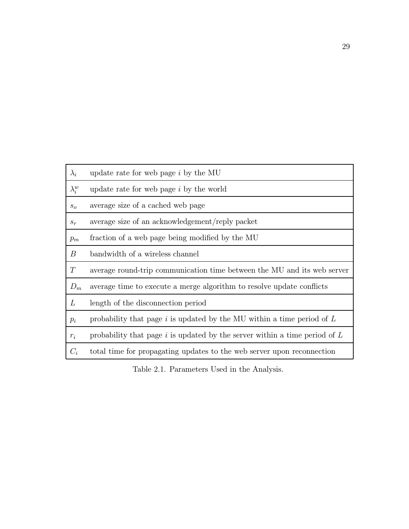| $\lambda_i$                | update rate for web page $i$ by the MU                                         |
|----------------------------|--------------------------------------------------------------------------------|
| $\lambda_i^w$              | update rate for web page $i$ by the world                                      |
| $S_{\scriptscriptstyle O}$ | average size of a cached web page                                              |
| $s_r$                      | average size of an acknowledgement/reply packet                                |
| $p_m$                      | fraction of a web page being modified by the MU                                |
| B                          | bandwidth of a wireless channel                                                |
| T                          | average round-trip communication time between the MU and its web server        |
| $D_m$                      | average time to execute a merge algorithm to resolve update conflicts          |
| L                          | length of the disconnection period                                             |
| $p_i$                      | probability that page $i$ is updated by the MU within a time period of $L$     |
| $r_i$                      | probability that page $i$ is updated by the server within a time period of $L$ |
| $C_i$                      | total time for propagating updates to the web server upon reconnection         |

Table 2.1. Parameters Used in the Analysis.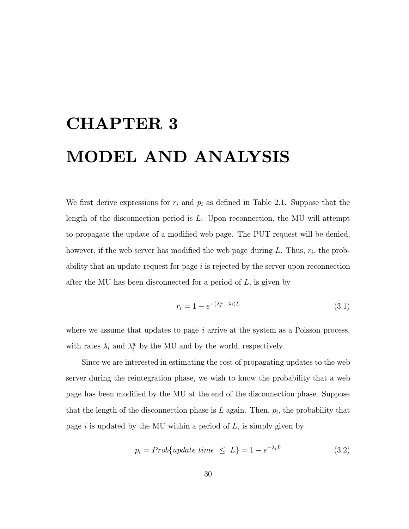# CHAPTER 3 MODEL AND ANALYSIS

We first derive expressions for  $r_i$  and  $p_i$  as defined in Table 2.1. Suppose that the length of the disconnection period is L. Upon reconnection, the MU will attempt to propagate the update of a modified web page. The PUT request will be denied, however, if the web server has modified the web page during L. Thus,  $r_i$ , the probability that an update request for page i is rejected by the server upon reconnection after the MU has been disconnected for a period of  $L$ , is given by

$$
r_i = 1 - e^{-(\lambda_i^w - \lambda_i)L} \tag{3.1}
$$

where we assume that updates to page  $i$  arrive at the system as a Poisson process, with rates  $\lambda_i$  and  $\lambda_i^w$  by the MU and by the world, respectively.

Since we are interested in estimating the cost of propagating updates to the web server during the reintegration phase, we wish to know the probability that a web page has been modified by the MU at the end of the disconnection phase. Suppose that the length of the disconnection phase is  $L$  again. Then,  $p_i$ , the probability that page i is updated by the MU within a period of  $L$ , is simply given by

$$
p_i = Prob\{update\ time \le L\} = 1 - e^{-\lambda_i L} \tag{3.2}
$$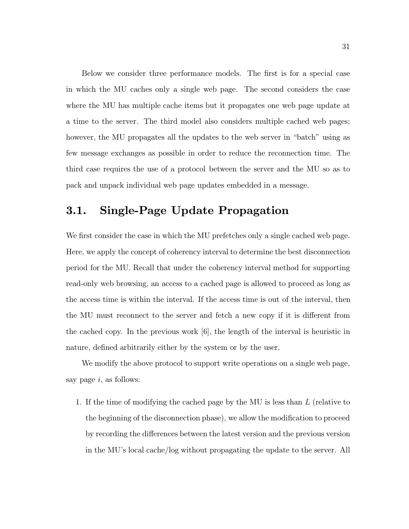Below we consider three performance models. The first is for a special case in which the MU caches only a single web page. The second considers the case where the MU has multiple cache items but it propagates one web page update at a time to the server. The third model also considers multiple cached web pages; however, the MU propagates all the updates to the web server in "batch" using as few message exchanges as possible in order to reduce the reconnection time. The third case requires the use of a protocol between the server and the MU so as to pack and unpack individual web page updates embedded in a message.

## 3.1. Single-Page Update Propagation

We first consider the case in which the MU prefetches only a single cached web page. Here, we apply the concept of coherency interval to determine the best disconnection period for the MU. Recall that under the coherency interval method for supporting read-only web browsing, an access to a cached page is allowed to proceed as long as the access time is within the interval. If the access time is out of the interval, then the MU must reconnect to the server and fetch a new copy if it is different from the cached copy. In the previous work [6], the length of the interval is heuristic in nature, defined arbitrarily either by the system or by the user.

We modify the above protocol to support write operations on a single web page, say page  $i$ , as follows:

1. If the time of modifying the cached page by the MU is less than L (relative to the beginning of the disconnection phase), we allow the modification to proceed by recording the differences between the latest version and the previous version in the MU's local cache/log without propagating the update to the server. All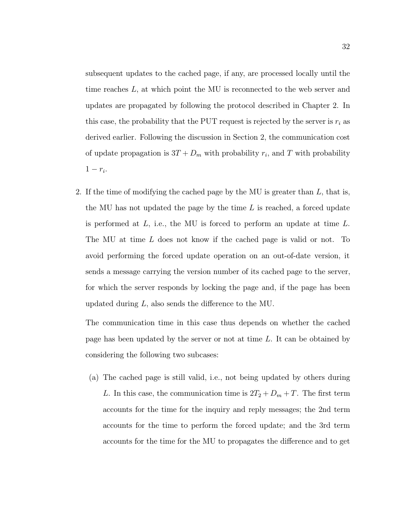subsequent updates to the cached page, if any, are processed locally until the time reaches L, at which point the MU is reconnected to the web server and updates are propagated by following the protocol described in Chapter 2. In this case, the probability that the PUT request is rejected by the server is  $r_i$  as derived earlier. Following the discussion in Section 2, the communication cost of update propagation is  $3T + D_m$  with probability  $r_i$ , and T with probability  $1-r_i$ .

2. If the time of modifying the cached page by the MU is greater than  $L$ , that is, the MU has not updated the page by the time  $L$  is reached, a forced update is performed at  $L$ , i.e., the MU is forced to perform an update at time  $L$ . The MU at time L does not know if the cached page is valid or not. To avoid performing the forced update operation on an out-of-date version, it sends a message carrying the version number of its cached page to the server, for which the server responds by locking the page and, if the page has been updated during L, also sends the difference to the MU.

The communication time in this case thus depends on whether the cached page has been updated by the server or not at time L. It can be obtained by considering the following two subcases:

(a) The cached page is still valid, i.e., not being updated by others during L. In this case, the communication time is  $2T_2 + D_m + T$ . The first term accounts for the time for the inquiry and reply messages; the 2nd term accounts for the time to perform the forced update; and the 3rd term accounts for the time for the MU to propagates the difference and to get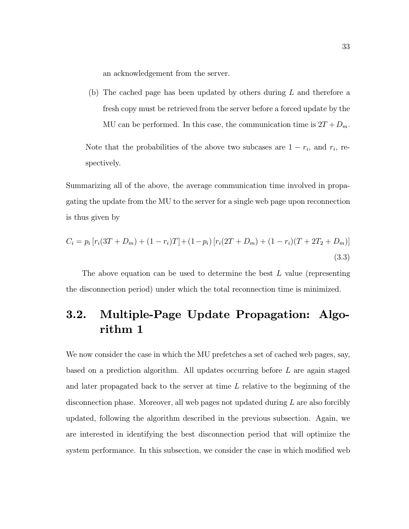an acknowledgement from the server.

(b) The cached page has been updated by others during L and therefore a fresh copy must be retrieved from the server before a forced update by the MU can be performed. In this case, the communication time is  $2T + D_m$ .

Note that the probabilities of the above two subcases are  $1 - r_i$ , and  $r_i$ , respectively.

Summarizing all of the above, the average communication time involved in propagating the update from the MU to the server for a single web page upon reconnection is thus given by

$$
C_i = p_i \left[ r_i (3T + D_m) + (1 - r_i)T \right] + (1 - p_i) \left[ r_i (2T + D_m) + (1 - r_i) (T + 2T_2 + D_m) \right]
$$
\n(3.3)

The above equation can be used to determine the best  $L$  value (representing the disconnection period) under which the total reconnection time is minimized.

## 3.2. Multiple-Page Update Propagation: Algorithm 1

We now consider the case in which the MU prefetches a set of cached web pages, say, based on a prediction algorithm. All updates occurring before L are again staged and later propagated back to the server at time L relative to the beginning of the disconnection phase. Moreover, all web pages not updated during L are also forcibly updated, following the algorithm described in the previous subsection. Again, we are interested in identifying the best disconnection period that will optimize the system performance. In this subsection, we consider the case in which modified web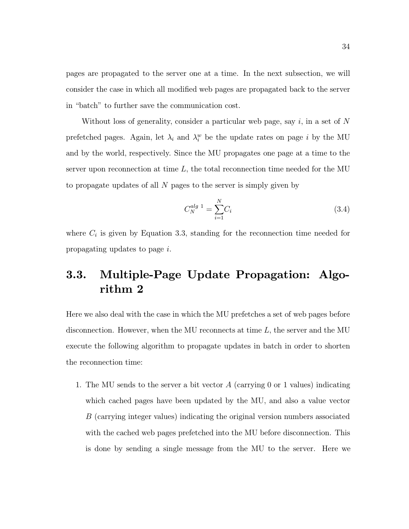pages are propagated to the server one at a time. In the next subsection, we will consider the case in which all modified web pages are propagated back to the server in "batch" to further save the communication cost.

Without loss of generality, consider a particular web page, say  $i$ , in a set of N prefetched pages. Again, let  $\lambda_i$  and  $\lambda_i^w$  be the update rates on page i by the MU and by the world, respectively. Since the MU propagates one page at a time to the server upon reconnection at time  $L$ , the total reconnection time needed for the MU to propagate updates of all N pages to the server is simply given by

$$
C_N^{alg \ 1} = \sum_{i=1}^N C_i \tag{3.4}
$$

where  $C_i$  is given by Equation 3.3, standing for the reconnection time needed for propagating updates to page i.

## 3.3. Multiple-Page Update Propagation: Algorithm 2

Here we also deal with the case in which the MU prefetches a set of web pages before disconnection. However, when the MU reconnects at time L, the server and the MU execute the following algorithm to propagate updates in batch in order to shorten the reconnection time:

1. The MU sends to the server a bit vector  $A$  (carrying 0 or 1 values) indicating which cached pages have been updated by the MU, and also a value vector B (carrying integer values) indicating the original version numbers associated with the cached web pages prefetched into the MU before disconnection. This is done by sending a single message from the MU to the server. Here we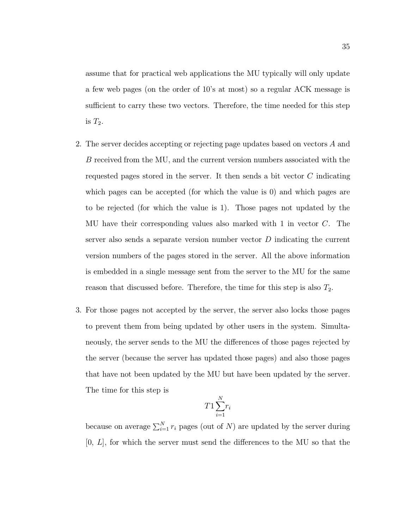assume that for practical web applications the MU typically will only update a few web pages (on the order of 10's at most) so a regular ACK message is sufficient to carry these two vectors. Therefore, the time needed for this step is  $T_2$ .

- 2. The server decides accepting or rejecting page updates based on vectors A and B received from the MU, and the current version numbers associated with the requested pages stored in the server. It then sends a bit vector  $C$  indicating which pages can be accepted (for which the value is 0) and which pages are to be rejected (for which the value is 1). Those pages not updated by the MU have their corresponding values also marked with 1 in vector C. The server also sends a separate version number vector  $D$  indicating the current version numbers of the pages stored in the server. All the above information is embedded in a single message sent from the server to the MU for the same reason that discussed before. Therefore, the time for this step is also  $T_2$ .
- 3. For those pages not accepted by the server, the server also locks those pages to prevent them from being updated by other users in the system. Simultaneously, the server sends to the MU the differences of those pages rejected by the server (because the server has updated those pages) and also those pages that have not been updated by the MU but have been updated by the server. The time for this step is

$$
T1\sum_{i=1}^{N}r_i
$$

because on average  $\sum_{i=1}^{N} r_i$  pages (out of N) are updated by the server during  $[0, L]$ , for which the server must send the differences to the MU so that the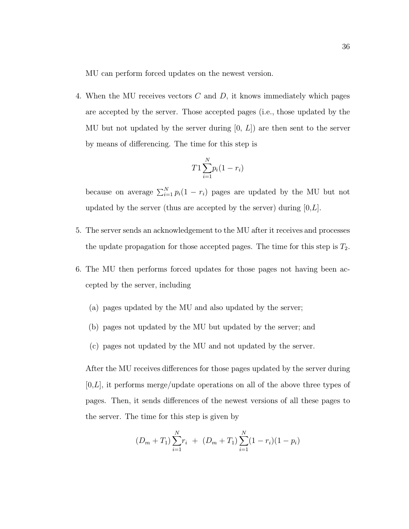MU can perform forced updates on the newest version.

4. When the MU receives vectors  $C$  and  $D$ , it knows immediately which pages are accepted by the server. Those accepted pages (i.e., those updated by the MU but not updated by the server during  $[0, L]$  are then sent to the server by means of differencing. The time for this step is

$$
T1\sum_{i=1}^{N}p_i(1-r_i)
$$

because on average  $\sum_{i=1}^{N} p_i(1 - r_i)$  pages are updated by the MU but not updated by the server (thus are accepted by the server) during  $[0,L]$ .

- 5. The server sends an acknowledgement to the MU after it receives and processes the update propagation for those accepted pages. The time for this step is  $T_2$ .
- 6. The MU then performs forced updates for those pages not having been accepted by the server, including
	- (a) pages updated by the MU and also updated by the server;
	- (b) pages not updated by the MU but updated by the server; and
	- (c) pages not updated by the MU and not updated by the server.

After the MU receives differences for those pages updated by the server during  $[0,L]$ , it performs merge/update operations on all of the above three types of pages. Then, it sends differences of the newest versions of all these pages to the server. The time for this step is given by

$$
(D_m + T_1) \sum_{i=1}^{N} r_i + (D_m + T_1) \sum_{i=1}^{N} (1 - r_i)(1 - p_i)
$$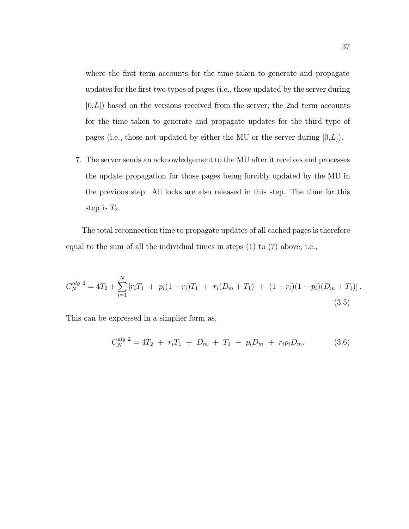where the first term accounts for the time taken to generate and propagate updates for the first two types of pages (i.e., those updated by the server during  $[0,L]$ ) based on the versions received from the server; the 2nd term accounts for the time taken to generate and propagate updates for the third type of pages (i.e., those not updated by either the MU or the server during  $[0,L]$ ).

7. The server sends an acknowledgement to the MU after it receives and processes the update propagation for those pages being forcibly updated by the MU in the previous step. All locks are also released in this step. The time for this step is  $T_2$ .

The total reconnection time to propagate updates of all cached pages is therefore equal to the sum of all the individual times in steps (1) to (7) above, i.e.,

$$
C_N^{alg\ 2} = 4T_2 + \sum_{i=1}^N \left[ r_i T_1 + p_i (1 - r_i) T_1 + r_i (D_m + T_1) + (1 - r_i)(1 - p_i) (D_m + T_1) \right].
$$
\n(3.5)

This can be expressed in a simplier form as,

$$
C_N^{alg\ 2} = 4T_2 + r_i T_1 + D_m + T_1 - p_i D_m + r_i p_i D_m.
$$
 (3.6)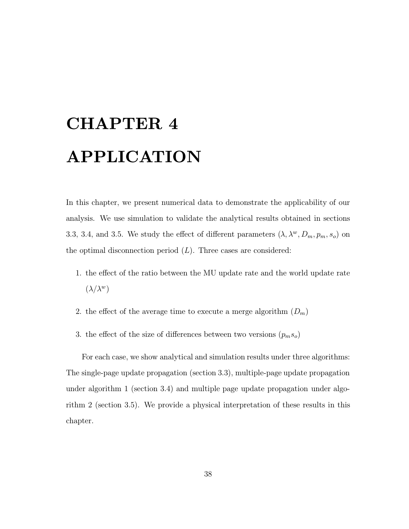# CHAPTER 4 APPLICATION

In this chapter, we present numerical data to demonstrate the applicability of our analysis. We use simulation to validate the analytical results obtained in sections 3.3, 3.4, and 3.5. We study the effect of different parameters  $(\lambda, \lambda^w, D_m, p_m, s_o)$  on the optimal disconnection period  $(L)$ . Three cases are considered:

- 1. the effect of the ratio between the MU update rate and the world update rate  $(\lambda/\lambda^w)$
- 2. the effect of the average time to execute a merge algorithm  $(D_m)$
- 3. the effect of the size of differences between two versions  $(p_m s_o)$

For each case, we show analytical and simulation results under three algorithms: The single-page update propagation (section 3.3), multiple-page update propagation under algorithm 1 (section 3.4) and multiple page update propagation under algorithm 2 (section 3.5). We provide a physical interpretation of these results in this chapter.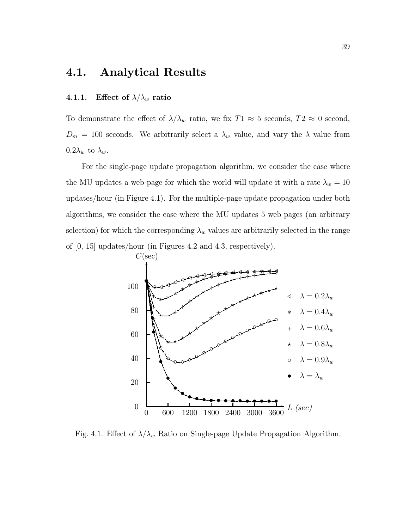## 4.1. Analytical Results

### 4.1.1. Effect of  $\lambda/\lambda_w$  ratio

To demonstrate the effect of  $\lambda/\lambda_w$  ratio, we fix  $T1 \approx 5$  seconds,  $T2 \approx 0$  second,  $D_m = 100$  seconds. We arbitrarily select a  $\lambda_w$  value, and vary the  $\lambda$  value from  $0.2\lambda_w$  to  $\lambda_w$ .

For the single-page update propagation algorithm, we consider the case where the MU updates a web page for which the world will update it with a rate  $\lambda_w = 10$ updates/hour (in Figure 4.1). For the multiple-page update propagation under both algorithms, we consider the case where the MU updates 5 web pages (an arbitrary selection) for which the corresponding  $\lambda_w$  values are arbitrarily selected in the range of [0, 15] updates/hour (in Figures 4.2 and 4.3, respectively).



Fig. 4.1. Effect of  $\lambda/\lambda_w$  Ratio on Single-page Update Propagation Algorithm.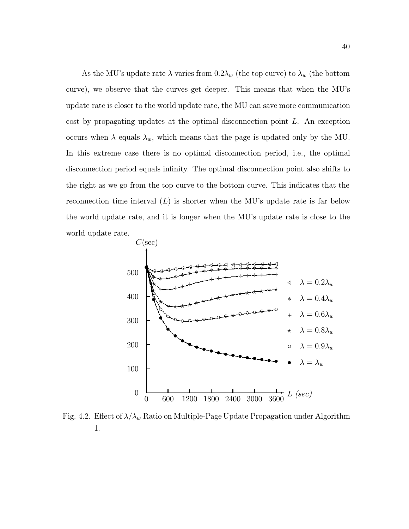As the MU's update rate  $\lambda$  varies from  $0.2\lambda_w$  (the top curve) to  $\lambda_w$  (the bottom curve), we observe that the curves get deeper. This means that when the MU's update rate is closer to the world update rate, the MU can save more communication cost by propagating updates at the optimal disconnection point L. An exception occurs when  $\lambda$  equals  $\lambda_w$ , which means that the page is updated only by the MU. In this extreme case there is no optimal disconnection period, i.e., the optimal disconnection period equals infinity. The optimal disconnection point also shifts to the right as we go from the top curve to the bottom curve. This indicates that the reconnection time interval  $(L)$  is shorter when the MU's update rate is far below the world update rate, and it is longer when the MU's update rate is close to the world update rate.



Fig. 4.2. Effect of  $\lambda/\lambda_w$  Ratio on Multiple-Page Update Propagation under Algorithm 1.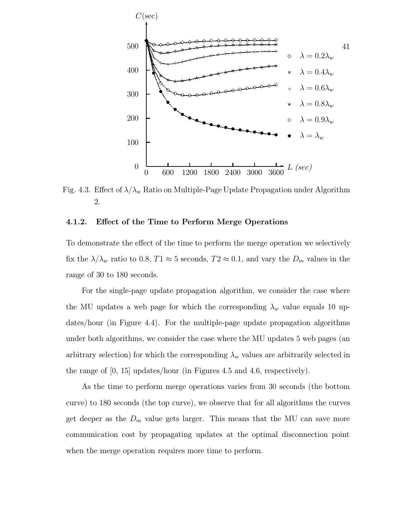

Fig. 4.3. Effect of  $\lambda/\lambda_w$  Ratio on Multiple-Page Update Propagation under Algorithm 2.

### 4.1.2. Effect of the Time to Perform Merge Operations

To demonstrate the effect of the time to perform the merge operation we selectively fix the  $\lambda/\lambda_w$  ratio to 0.8,  $T1 \approx 5$  seconds,  $T2 \approx 0.1$ , and vary the  $D_m$  values in the range of 30 to 180 seconds.

For the single-page update propagation algorithm, we consider the case where the MU updates a web page for which the corresponding  $\lambda_w$  value equals 10 updates/hour (in Figure 4.4). For the multiple-page update propagation algorithms under both algorithms, we consider the case where the MU updates 5 web pages (an arbitrary selection) for which the corresponding  $\lambda_w$  values are arbitrarily selected in the range of [0, 15] updates/hour (in Figures 4.5 and 4.6, respectively).

As the time to perform merge operations varies from 30 seconds (the bottom curve) to 180 seconds (the top curve), we observe that for all algorithms the curves get deeper as the  $D_m$  value gets larger. This means that the MU can save more communication cost by propagating updates at the optimal disconnection point when the merge operation requires more time to perform.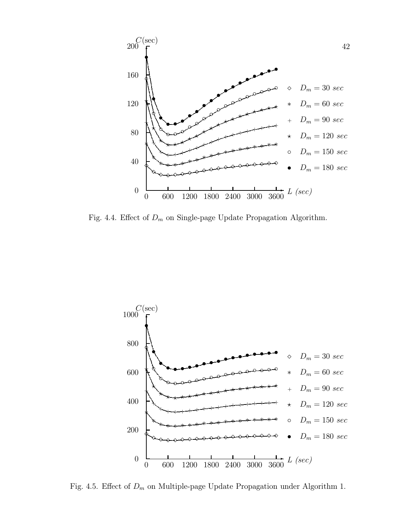

Fig. 4.4. Effect of  $D_m$  on Single-page Update Propagation Algorithm.



Fig. 4.5. Effect of  $D_m$  on Multiple-page Update Propagation under Algorithm 1.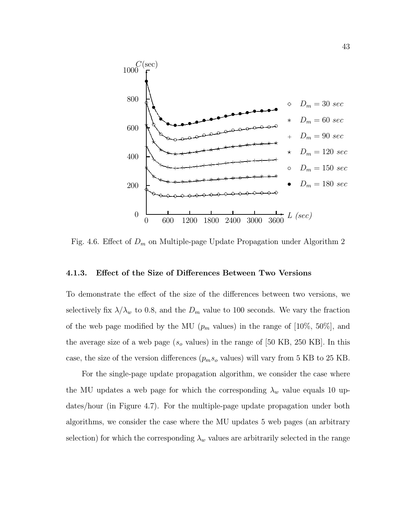

Fig. 4.6. Effect of  $D_m$  on Multiple-page Update Propagation under Algorithm 2

#### 4.1.3. Effect of the Size of Differences Between Two Versions

To demonstrate the effect of the size of the differences between two versions, we selectively fix  $\lambda/\lambda_w$  to 0.8, and the  $D_m$  value to 100 seconds. We vary the fraction of the web page modified by the MU ( $p_m$  values) in the range of [10\%, 50\%], and the average size of a web page  $(s_o$  values) in the range of [50 KB, 250 KB]. In this case, the size of the version differences  $(p_m s_o$  values) will vary from 5 KB to 25 KB.

For the single-page update propagation algorithm, we consider the case where the MU updates a web page for which the corresponding  $\lambda_w$  value equals 10 updates/hour (in Figure 4.7). For the multiple-page update propagation under both algorithms, we consider the case where the MU updates 5 web pages (an arbitrary selection) for which the corresponding  $\lambda_w$  values are arbitrarily selected in the range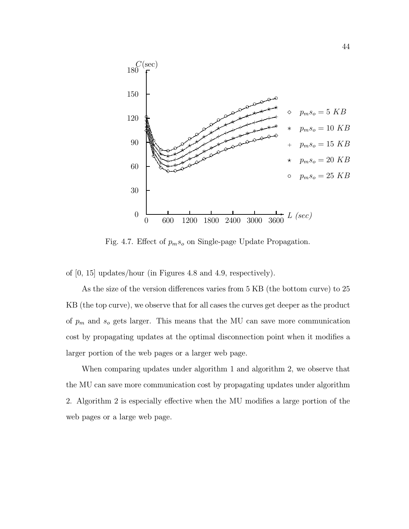

Fig. 4.7. Effect of  $p_m s_o$  on Single-page Update Propagation.

of [0, 15] updates/hour (in Figures 4.8 and 4.9, respectively).

As the size of the version differences varies from 5 KB (the bottom curve) to 25 KB (the top curve), we observe that for all cases the curves get deeper as the product of  $p_m$  and  $s_o$  gets larger. This means that the MU can save more communication cost by propagating updates at the optimal disconnection point when it modifies a larger portion of the web pages or a larger web page.

When comparing updates under algorithm 1 and algorithm 2, we observe that the MU can save more communication cost by propagating updates under algorithm 2. Algorithm 2 is especially effective when the MU modifies a large portion of the web pages or a large web page.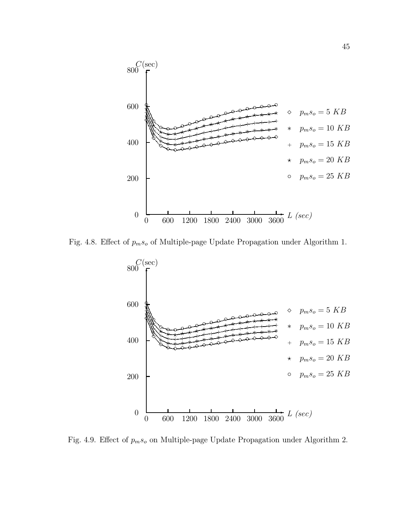

Fig. 4.8. Effect of  $p_m s_o$  of Multiple-page Update Propagation under Algorithm 1.



Fig. 4.9. Effect of  $p_m s_o$  on Multiple-page Update Propagation under Algorithm 2.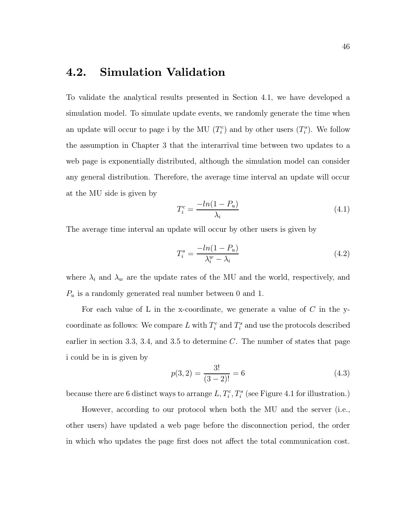## 4.2. Simulation Validation

To validate the analytical results presented in Section 4.1, we have developed a simulation model. To simulate update events, we randomly generate the time when an update will occur to page i by the MU  $(T_i^c)$  and by other users  $(T_i^s)$ . We follow the assumption in Chapter 3 that the interarrival time between two updates to a web page is exponentially distributed, although the simulation model can consider any general distribution. Therefore, the average time interval an update will occur at the MU side is given by

$$
T_i^c = \frac{-\ln(1 - P_u)}{\lambda_i} \tag{4.1}
$$

The average time interval an update will occur by other users is given by

$$
T_i^s = \frac{-\ln(1 - P_u)}{\lambda_i^w - \lambda_i} \tag{4.2}
$$

where  $\lambda_i$  and  $\lambda_w$  are the update rates of the MU and the world, respectively, and  $P_u$  is a randomly generated real number between 0 and 1.

For each value of L in the x-coordinate, we generate a value of  $C$  in the ycoordinate as follows: We compare L with  $T_i^c$  and  $T_i^s$  and use the protocols described earlier in section 3.3, 3.4, and 3.5 to determine  $C$ . The number of states that page i could be in is given by

$$
p(3,2) = \frac{3!}{(3-2)!} = 6\tag{4.3}
$$

because there are 6 distinct ways to arrange  $L, T_i^c, T_i^s$  (see Figure 4.1 for illustration.)

However, according to our protocol when both the MU and the server (i.e., other users) have updated a web page before the disconnection period, the order in which who updates the page first does not affect the total communication cost.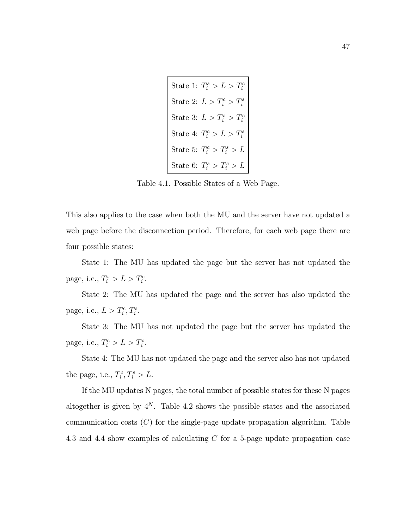| State 1: $T_i^s > L > T_i^c$ |
|------------------------------|
| State 2: $L > T_i^c > T_i^s$ |
| State 3: $L > T_i^s > T_i^c$ |
| State 4: $T_i^c > L > T_i^s$ |
| State 5: $T_i^c > T_i^s > L$ |
| State 6: $T_i^s > T_i^c > L$ |

Table 4.1. Possible States of a Web Page.

This also applies to the case when both the MU and the server have not updated a web page before the disconnection period. Therefore, for each web page there are four possible states:

State 1: The MU has updated the page but the server has not updated the page, i.e.,  $T_i^s > L > T_i^c$ .

State 2: The MU has updated the page and the server has also updated the page, i.e.,  $L > T_i^c, T_i^s$ .

State 3: The MU has not updated the page but the server has updated the page, i.e.,  $T_i^c > L > T_i^s$ .

State 4: The MU has not updated the page and the server also has not updated the page, i.e.,  $T_i^c, T_i^s > L$ .

If the MU updates N pages, the total number of possible states for these N pages altogether is given by  $4^N$ . Table 4.2 shows the possible states and the associated communication costs  $(C)$  for the single-page update propagation algorithm. Table 4.3 and 4.4 show examples of calculating C for a 5-page update propagation case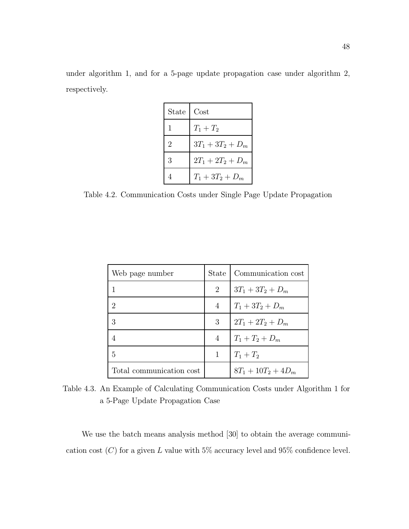under algorithm 1, and for a 5-page update propagation case under algorithm 2, respectively.

| <b>State</b>   | Cost                |
|----------------|---------------------|
| 1              | $T_1 + T_2$         |
| $\overline{2}$ | $3T_1 + 3T_2 + D_m$ |
| 3              | $2T_1 + 2T_2 + D_m$ |
|                | $T_1 + 3T_2 + D_m$  |

Table 4.2. Communication Costs under Single Page Update Propagation

| Web page number          | State          | Communication cost    |
|--------------------------|----------------|-----------------------|
|                          | 2              | $3T_1 + 3T_2 + D_m$   |
| 2                        | 4              | $T_1 + 3T_2 + D_m$    |
| 3                        | 3              | $2T_1 + 2T_2 + D_m$   |
|                          | $\overline{4}$ | $T_1 + T_2 + D_m$     |
| 5                        |                | $T_1 + T_2$           |
| Total communication cost |                | $8T_1 + 10T_2 + 4D_m$ |

Table 4.3. An Example of Calculating Communication Costs under Algorithm 1 for a 5-Page Update Propagation Case

We use the batch means analysis method [30] to obtain the average communication cost  $(C)$  for a given L value with 5% accuracy level and 95% confidence level.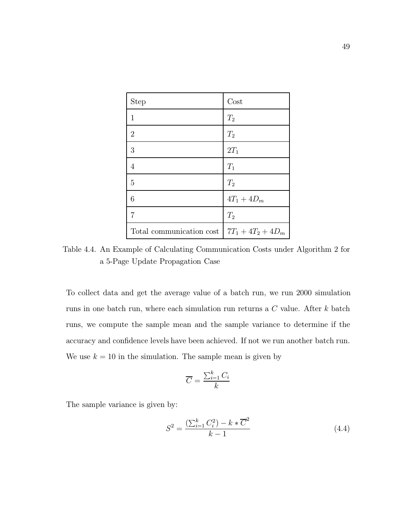| <b>Step</b>              | Cost                 |
|--------------------------|----------------------|
| 1                        | $T_2$                |
| $\overline{2}$           | $T_2$                |
| 3                        | $2T_1$               |
| 4                        | $T_1$                |
| 5                        | $T_2$                |
| 6                        | $4T_1 + 4D_m$        |
| 7                        | $T_2$                |
| Total communication cost | $7T_1 + 4T_2 + 4D_m$ |

Table 4.4. An Example of Calculating Communication Costs under Algorithm 2 for a 5-Page Update Propagation Case

To collect data and get the average value of a batch run, we run 2000 simulation runs in one batch run, where each simulation run returns a  $C$  value. After  $k$  batch runs, we compute the sample mean and the sample variance to determine if the accuracy and confidence levels have been achieved. If not we run another batch run. We use  $k = 10$  in the simulation. The sample mean is given by

$$
\overline{C} = \frac{\sum_{i=1}^{k} C_i}{k}
$$

The sample variance is given by:

$$
S^{2} = \frac{\left(\sum_{i=1}^{k} C_{i}^{2}\right) - k * \overline{C}^{2}}{k - 1}
$$
\n(4.4)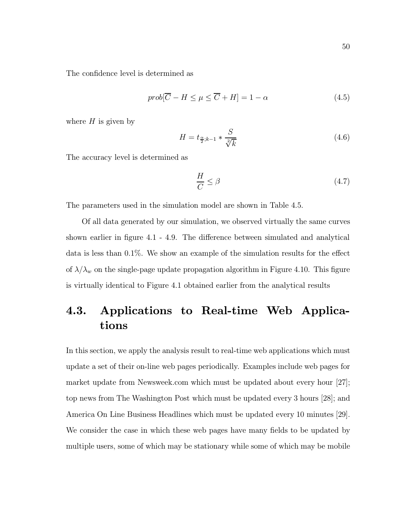The confidence level is determined as

$$
prob[\overline{C} - H \le \mu \le \overline{C} + H] = 1 - \alpha \tag{4.5}
$$

where  $H$  is given by

$$
H = t_{\frac{\alpha}{2};k-1} * \frac{S}{\sqrt[2]{k}} \tag{4.6}
$$

The accuracy level is determined as

$$
\frac{H}{C} \le \beta \tag{4.7}
$$

The parameters used in the simulation model are shown in Table 4.5.

Of all data generated by our simulation, we observed virtually the same curves shown earlier in figure 4.1 - 4.9. The difference between simulated and analytical data is less than 0.1%. We show an example of the simulation results for the effect of  $\lambda/\lambda_w$  on the single-page update propagation algorithm in Figure 4.10. This figure is virtually identical to Figure 4.1 obtained earlier from the analytical results

## 4.3. Applications to Real-time Web Applications

In this section, we apply the analysis result to real-time web applications which must update a set of their on-line web pages periodically. Examples include web pages for market update from Newsweek.com which must be updated about every hour [27]; top news from The Washington Post which must be updated every 3 hours [28]; and America On Line Business Headlines which must be updated every 10 minutes [29]. We consider the case in which these web pages have many fields to be updated by multiple users, some of which may be stationary while some of which may be mobile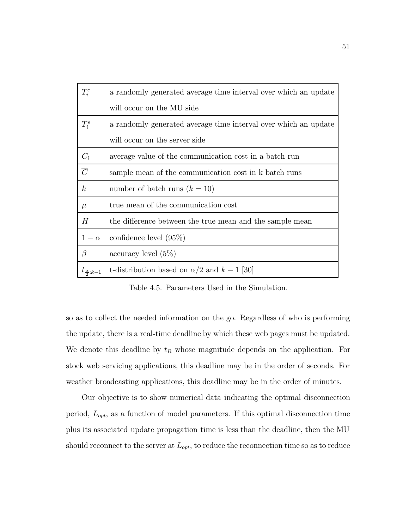| $T_i^c$                    | a randomly generated average time interval over which an update |
|----------------------------|-----------------------------------------------------------------|
|                            | will occur on the MU side                                       |
| $T_i^s$                    | a randomly generated average time interval over which an update |
|                            | will occur on the server side                                   |
| $C_i$                      | average value of the communication cost in a batch run          |
| $\overline{C}$             | sample mean of the communication cost in k batch runs           |
| $\boldsymbol{k}$           | number of batch runs $(k = 10)$                                 |
| $\mu$                      | true mean of the communication cost                             |
| Н                          | the difference between the true mean and the sample mean        |
| $1-\alpha$                 | confidence level $(95\%)$                                       |
| $\beta$                    | $\alpha$ ccuracy level $(5\%)$                                  |
| $t_{\frac{\alpha}{2};k-1}$ | t-distribution based on $\alpha/2$ and $k-1$ [30]               |

Table 4.5. Parameters Used in the Simulation.

so as to collect the needed information on the go. Regardless of who is performing the update, there is a real-time deadline by which these web pages must be updated. We denote this deadline by  $t_R$  whose magnitude depends on the application. For stock web servicing applications, this deadline may be in the order of seconds. For weather broadcasting applications, this deadline may be in the order of minutes.

Our objective is to show numerical data indicating the optimal disconnection period,  $L_{opt}$ , as a function of model parameters. If this optimal disconnection time plus its associated update propagation time is less than the deadline, then the MU should reconnect to the server at  $L_{opt}$ , to reduce the reconnection time so as to reduce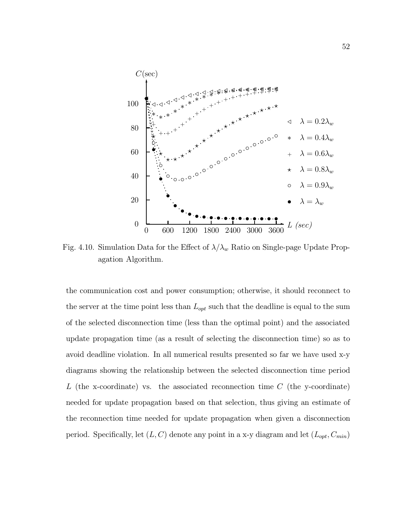

Fig. 4.10. Simulation Data for the Effect of  $\lambda/\lambda_w$  Ratio on Single-page Update Propagation Algorithm.

the communication cost and power consumption; otherwise, it should reconnect to the server at the time point less than  $L_{opt}$  such that the deadline is equal to the sum of the selected disconnection time (less than the optimal point) and the associated update propagation time (as a result of selecting the disconnection time) so as to avoid deadline violation. In all numerical results presented so far we have used x-y diagrams showing the relationship between the selected disconnection time period L (the x-coordinate) vs. the associated reconnection time  $C$  (the y-coordinate) needed for update propagation based on that selection, thus giving an estimate of the reconnection time needed for update propagation when given a disconnection period. Specifically, let  $(L, C)$  denote any point in a x-y diagram and let  $(L_{opt}, C_{min})$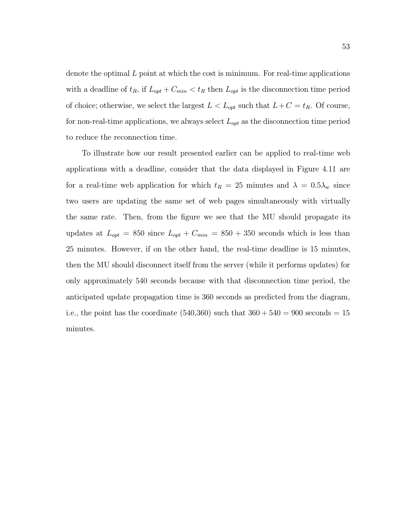denote the optimal  $L$  point at which the cost is minimum. For real-time applications with a deadline of  $t_R$ , if  $L_{opt} + C_{min} < t_R$  then  $L_{opt}$  is the disconnection time period of choice; otherwise, we select the largest  $L < L_{opt}$  such that  $L+C = t_R$ . Of course, for non-real-time applications, we always select  $L_{opt}$  as the disconnection time period to reduce the reconnection time.

To illustrate how our result presented earlier can be applied to real-time web applications with a deadline, consider that the data displayed in Figure 4.11 are for a real-time web application for which  $t_R = 25$  minutes and  $\lambda = 0.5\lambda_w$  since two users are updating the same set of web pages simultaneously with virtually the same rate. Then, from the figure we see that the MU should propagate its updates at  $L_{opt} = 850$  since  $L_{opt} + C_{min} = 850 + 350$  seconds which is less than 25 minutes. However, if on the other hand, the real-time deadline is 15 minutes, then the MU should disconnect itself from the server (while it performs updates) for only approximately 540 seconds because with that disconnection time period, the anticipated update propagation time is 360 seconds as predicted from the diagram, i.e., the point has the coordinate  $(540,360)$  such that  $360 + 540 = 900$  seconds = 15 minutes.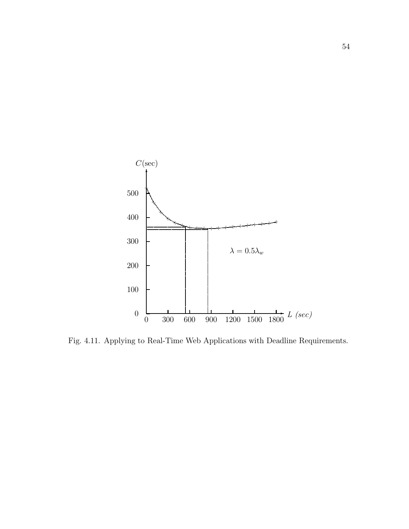

Fig. 4.11. Applying to Real-Time Web Applications with Deadline Requirements.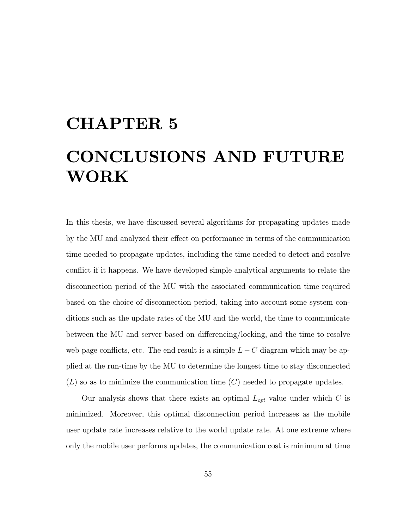# CHAPTER 5 CONCLUSIONS AND FUTURE WORK

In this thesis, we have discussed several algorithms for propagating updates made by the MU and analyzed their effect on performance in terms of the communication time needed to propagate updates, including the time needed to detect and resolve conflict if it happens. We have developed simple analytical arguments to relate the disconnection period of the MU with the associated communication time required based on the choice of disconnection period, taking into account some system conditions such as the update rates of the MU and the world, the time to communicate between the MU and server based on differencing/locking, and the time to resolve web page conflicts, etc. The end result is a simple  $L-C$  diagram which may be applied at the run-time by the MU to determine the longest time to stay disconnected  $(L)$  so as to minimize the communication time  $(C)$  needed to propagate updates.

Our analysis shows that there exists an optimal  $L_{opt}$  value under which C is minimized. Moreover, this optimal disconnection period increases as the mobile user update rate increases relative to the world update rate. At one extreme where only the mobile user performs updates, the communication cost is minimum at time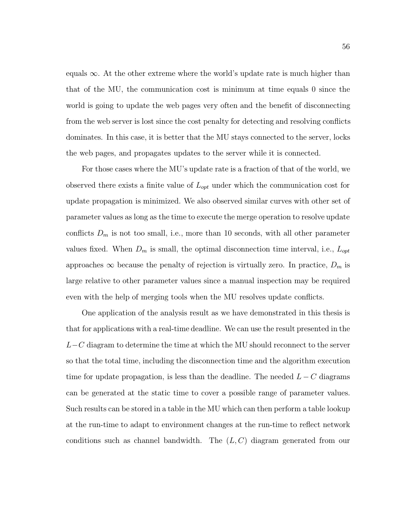equals  $\infty$ . At the other extreme where the world's update rate is much higher than that of the MU, the communication cost is minimum at time equals 0 since the world is going to update the web pages very often and the benefit of disconnecting from the web server is lost since the cost penalty for detecting and resolving conflicts dominates. In this case, it is better that the MU stays connected to the server, locks the web pages, and propagates updates to the server while it is connected.

For those cases where the MU's update rate is a fraction of that of the world, we observed there exists a finite value of  $L_{opt}$  under which the communication cost for update propagation is minimized. We also observed similar curves with other set of parameter values as long as the time to execute the merge operation to resolve update conflicts  $D_m$  is not too small, i.e., more than 10 seconds, with all other parameter values fixed. When  $D_m$  is small, the optimal disconnection time interval, i.e.,  $L_{opt}$ approaches  $\infty$  because the penalty of rejection is virtually zero. In practice,  $D_m$  is large relative to other parameter values since a manual inspection may be required even with the help of merging tools when the MU resolves update conflicts.

One application of the analysis result as we have demonstrated in this thesis is that for applications with a real-time deadline. We can use the result presented in the  $L-C$  diagram to determine the time at which the MU should reconnect to the server so that the total time, including the disconnection time and the algorithm execution time for update propagation, is less than the deadline. The needed  $L - C$  diagrams can be generated at the static time to cover a possible range of parameter values. Such results can be stored in a table in the MU which can then perform a table lookup at the run-time to adapt to environment changes at the run-time to reflect network conditions such as channel bandwidth. The  $(L, C)$  diagram generated from our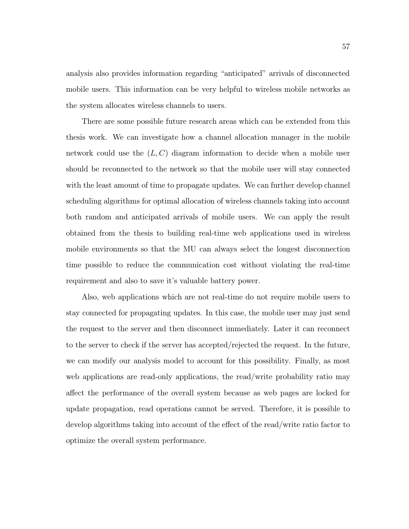analysis also provides information regarding "anticipated" arrivals of disconnected mobile users. This information can be very helpful to wireless mobile networks as the system allocates wireless channels to users.

There are some possible future research areas which can be extended from this thesis work. We can investigate how a channel allocation manager in the mobile network could use the  $(L, C)$  diagram information to decide when a mobile user should be reconnected to the network so that the mobile user will stay connected with the least amount of time to propagate updates. We can further develop channel scheduling algorithms for optimal allocation of wireless channels taking into account both random and anticipated arrivals of mobile users. We can apply the result obtained from the thesis to building real-time web applications used in wireless mobile environments so that the MU can always select the longest disconnection time possible to reduce the communication cost without violating the real-time requirement and also to save it's valuable battery power.

Also, web applications which are not real-time do not require mobile users to stay connected for propagating updates. In this case, the mobile user may just send the request to the server and then disconnect immediately. Later it can reconnect to the server to check if the server has accepted/rejected the request. In the future, we can modify our analysis model to account for this possibility. Finally, as most web applications are read-only applications, the read/write probability ratio may affect the performance of the overall system because as web pages are locked for update propagation, read operations cannot be served. Therefore, it is possible to develop algorithms taking into account of the effect of the read/write ratio factor to optimize the overall system performance.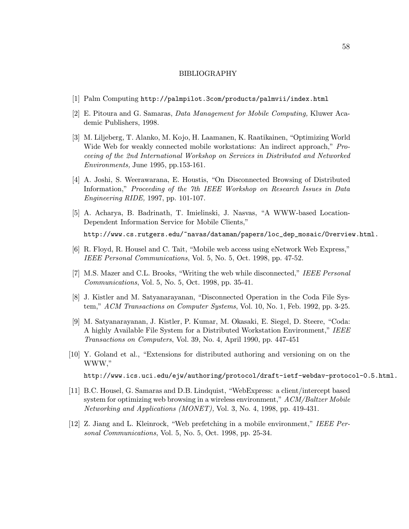#### BIBLIOGRAPHY

- [1] Palm Computing http://palmpilot.3com/products/palmvii/index.html
- [2] E. Pitoura and G. Samaras, Data Management for Mobile Computing, Kluwer Academic Publishers, 1998.
- [3] M. Liljeberg, T. Alanko, M. Kojo, H. Laamanen, K. Raatikainen, "Optimizing World Wide Web for weakly connected mobile workstations: An indirect approach," Proceeing of the 2nd International Workshop on Services in Distributed and Networked Environments, June 1995, pp.153-161.
- [4] A. Joshi, S. Weerawarana, E. Houstis, "On Disconnected Browsing of Distributed Information," Proceeding of the 7th IEEE Workshop on Research Issues in Data Engineering RIDE, 1997, pp. 101-107.
- [5] A. Acharya, B. Badrinath, T. Imielinski, J. Nasvas, "A WWW-based Location-Dependent Information Service for Mobile Clients," http://www.cs.rutgers.edu/~navas/dataman/papers/loc\_dep\_mosaic/Overview.html.
- [6] R. Floyd, R. Housel and C. Tait, "Mobile web access using eNetwork Web Express," IEEE Personal Communications, Vol. 5, No. 5, Oct. 1998, pp. 47-52.
- [7] M.S. Mazer and C.L. Brooks, "Writing the web while disconnected," IEEE Personal Communications, Vol. 5, No. 5, Oct. 1998, pp. 35-41.
- [8] J. Kistler and M. Satyanarayanan, "Disconnected Operation in the Coda File System," ACM Transactions on Computer Systems, Vol. 10, No. 1, Feb. 1992, pp. 3-25.
- [9] M. Satyanarayanan, J. Kistler, P. Kumar, M. Okasaki, E. Siegel, D. Steere, "Coda: A highly Available File System for a Distributed Workstation Environment," IEEE Transactions on Computers, Vol. 39, No. 4, April 1990, pp. 447-451
- [10] Y. Goland et al., "Extensions for distributed authoring and versioning on on the WWW,"

http://www.ics.uci.edu/ejw/authoring/protocol/draft-ietf-webdav-protocol-0.5.html.

- [11] B.C. Housel, G. Samaras and D.B. Lindquist, "WebExpress: a client/intercept based system for optimizing web browsing in a wireless environment," ACM/Baltzer Mobile Networking and Applications (MONET), Vol. 3, No. 4, 1998, pp. 419-431.
- [12] Z. Jiang and L. Kleinrock, "Web prefetching in a mobile environment," IEEE Personal Communications, Vol. 5, No. 5, Oct. 1998, pp. 25-34.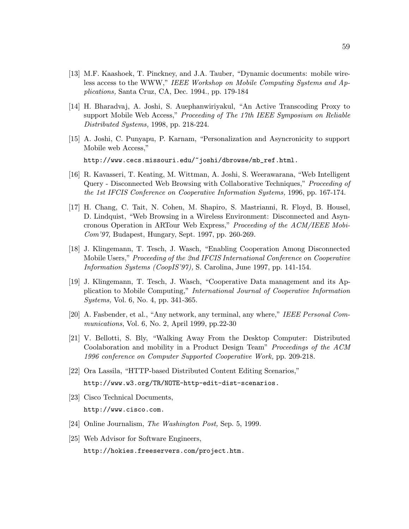- [13] M.F. Kaashoek, T. Pinckney, and J.A. Tauber, "Dynamic documents: mobile wireless access to the WWW," IEEE Workshop on Mobile Computing Systems and Applications, Santa Cruz, CA, Dec. 1994., pp. 179-184
- [14] H. Bharadvaj, A. Joshi, S. Auephanwiriyakul, "An Active Transcoding Proxy to support Mobile Web Access," Proceeding of The 17th IEEE Symposium on Reliable Distributed Systems, 1998, pp. 218-224.
- [15] A. Joshi, C. Punyapu, P. Karnam, "Personalization and Asyncronicity to support Mobile web Access," http://www.cecs.missouri.edu/~joshi/dbrowse/mb\_ref.html.
- [16] R. Kavasseri, T. Keating, M. Wittman, A. Joshi, S. Weerawarana, "Web Intelligent Query - Disconnected Web Browsing with Collaborative Techniques," Proceeding of the 1st IFCIS Conference on Cooperative Information Systems, 1996, pp. 167-174.
- [17] H. Chang, C. Tait, N. Cohen, M. Shapiro, S. Mastrianni, R. Floyd, B. Housel, D. Lindquist, "Web Browsing in a Wireless Environment: Disconnected and Asyncronous Operation in ARTour Web Express," Proceeding of the ACM/IEEE Mobi-Com'97, Budapest, Hungary, Sept. 1997, pp. 260-269.
- [18] J. Klingemann, T. Tesch, J. Wasch, "Enabling Cooperation Among Disconnected Mobile Users," Proceeding of the 2nd IFCIS International Conference on Cooperative Information Systems (CoopIS'97), S. Carolina, June 1997, pp. 141-154.
- [19] J. Klingemann, T. Tesch, J. Wasch, "Cooperative Data management and its Application to Mobile Computing," International Journal of Cooperative Information Systems, Vol. 6, No. 4, pp. 341-365.
- [20] A. Fasbender, et al., "Any network, any terminal, any where," IEEE Personal Communications, Vol. 6, No. 2, April 1999, pp.22-30
- [21] V. Bellotti, S. Bly, "Walking Away From the Desktop Computer: Distributed Coolaboration and mobility in a Product Design Team" Proceedings of the ACM 1996 conference on Computer Supported Cooperative Work, pp. 209-218.
- [22] Ora Lassila, "HTTP-based Distributed Content Editing Scenarios," http://www.w3.org/TR/NOTE-http-edit-dist-scenarios.
- [23] Cisco Technical Documents, http://www.cisco.com.
- [24] Online Journalism, The Washington Post, Sep. 5, 1999.
- [25] Web Advisor for Software Engineers, http://hokies.freeservers.com/project.htm.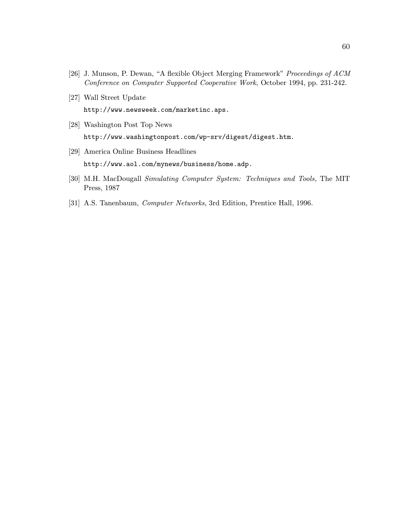- [26] J. Munson, P. Dewan, "A flexible Object Merging Framework" Proceedings of ACM Conference on Computer Supported Cooperative Work, October 1994, pp. 231-242.
- [27] Wall Street Update http://www.newsweek.com/marketinc.aps.
- [28] Washington Post Top News http://www.washingtonpost.com/wp-srv/digest/digest.htm.
- [29] America Online Business Headlines http://www.aol.com/mynews/business/home.adp.
- [30] M.H. MacDougall Simulating Computer System: Techniques and Tools, The MIT Press, 1987
- [31] A.S. Tanenbaum, Computer Networks, 3rd Edition, Prentice Hall, 1996.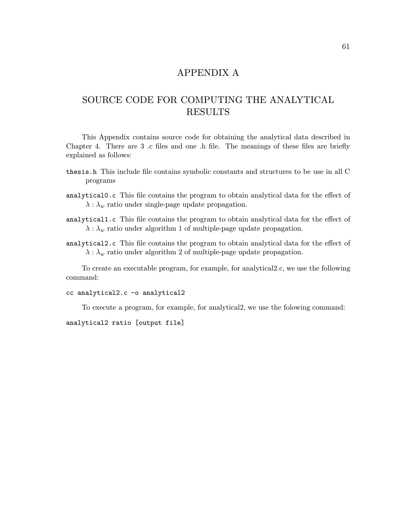### APPENDIX A

## SOURCE CODE FOR COMPUTING THE ANALYTICAL RESULTS

This Appendix contains source code for obtaining the analytical data described in Chapter 4. There are 3 .c files and one .h file. The meanings of these files are briefly explained as follows:

- thesis.h This include file contains symbolic constants and structures to be use in all C programs
- analytical0.c This file contains the program to obtain analytical data for the effect of  $\lambda : \lambda_w$  ratio under single-page update propagation.
- analytical1.c This file contains the program to obtain analytical data for the effect of  $\lambda : \lambda_w$  ratio under algorithm 1 of multiple-page update propagation.
- analytical2.c This file contains the program to obtain analytical data for the effect of  $\lambda : \lambda_w$  ratio under algorithm 2 of multiple-page update propagation.

To create an executable program, for example, for analytical2.c, we use the following command:

cc analytical2.c -o analytical2

To execute a program, for example, for analytical2, we use the folowing command:

analytical2 ratio [output file]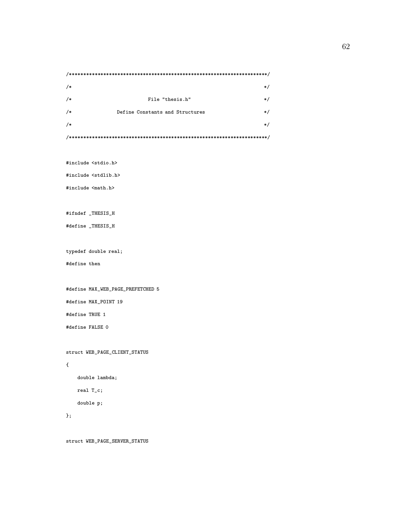/\*\*\*\*\*\*\*\*\*\*\*\*\*\*\*\*\*\*\*\*\*\*\*\*\*\*\*\*\*\*\*\*\*\*\*\*\*\*\*\*\*\*\*\*\*\*\*\*\*\*\*\*\*\*\*\*\*\*\*\*\*\*\*\*\*\*\*\*\*\*/  $\frac{1}{\sqrt{2}}$  /\* /\* File "thesis.h"  $*$ / /\* Define Constants and Structures \*/  $\frac{1}{\sqrt{2}}$  /\*  $\frac{1}{\sqrt{2}}$  /\* /\*\*\*\*\*\*\*\*\*\*\*\*\*\*\*\*\*\*\*\*\*\*\*\*\*\*\*\*\*\*\*\*\*\*\*\*\*\*\*\*\*\*\*\*\*\*\*\*\*\*\*\*\*\*\*\*\*\*\*\*\*\*\*\*\*\*\*\*\*\*/

#include <stdio.h>

#include <stdlib.h>

#include <math.h>

#ifndef \_THESIS\_H

#define \_THESIS\_H

typedef double real;

#define then

#define MAX\_WEB\_PAGE\_PREFETCHED 5

#define MAX\_POINT 19

#define TRUE 1

#define FALSE 0

struct WEB\_PAGE\_CLIENT\_STATUS

#### {

double lambda;

real T\_c;

double p;

#### };

struct WEB\_PAGE\_SERVER\_STATUS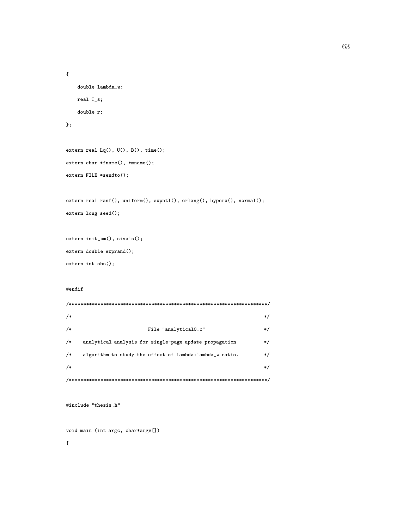```
double lambda_w;
real T_s;
double r;
```

```
};
```
{

```
extern real Lq(), U(), B(), time();
extern char *fname(), *mname();
extern FILE *sendto();
```

```
extern real ranf(), uniform(), expntl(), erlang(), hyperx(), normal();
extern long seed();
```

```
extern init_bm(), civals();
extern double exprand();
extern int obs();
```
#### #endif

```
/**********************************************************************/
\frac{1}{\sqrt{2}} /* \frac{1}{\sqrt{2}} /*
/* File "analytical0.c" */
/* analytical analysis for single-page update propagation */
/* algorithm to study the effect of lambda:lambda_w ratio. */
\frac{1}{\sqrt{2}} /*
/**********************************************************************/
```

```
#include "thesis.h"
```
void main (int argc, char\*argv[])

{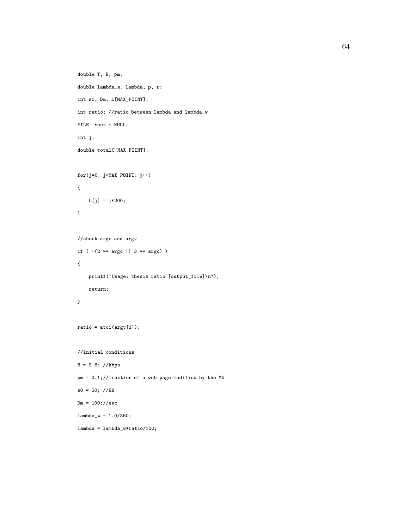```
double T, B, pm;
double lambda_w, lambda, p, r;
int s0, Dm, L[MAX_POINT];
int ratio; //ratio between lambda and lambda_w
FILE *out = NULL;
int j;
double totalC[MAX_POINT];
for(j=0; j<MAX_POINT; j++)
{
   L[j] = j*200;
}
//check argc and argv
if ( !(2 == \arg c || 3 == \arg c) ){
    printf("Usage: thesis ratio [output_file]\n");
    return;
}
ratio = atoi(argv[1]);
//initial conditions
B = 9.6; //kbps
pm = 0.1;//fraction of a web page modified by the MU
s0 = 50; //KBDm = 100; // seclambda_w = 1.0/360;lambda = lambda_w*ratio/100;
```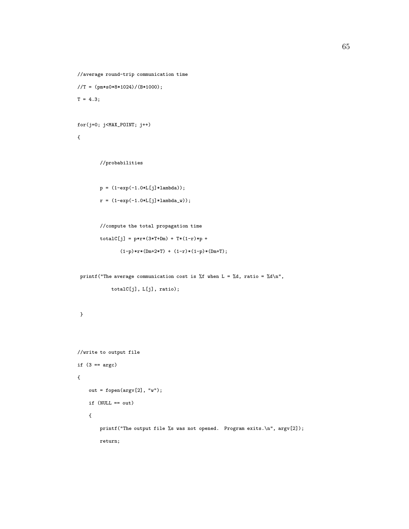```
//average round-trip communication time
//T = (pm*s0*8*1024)/(B*1000);T = 4.3;
```

```
for(j=0; j<MAX_POINT; j++)
```

```
//probabilities
```

```
p = (1-exp(-1.0*L[j]*lambda));r = (1-exp(-1.0*L[j]*lambda_w));
```

```
//compute the total propagation time
totalC[j] = p*r*(3*T+Dm) + T*(1-r)*p +(1-p)*r*(Dm+2*T) + (1-r)*(1-p)*(Dm+T);
```

```
printf("The average communication cost is %f when L = \%d, ratio = %d\n",
```

```
totalC[j], L[j], ratio);
```

```
}
```

```
//write to output file
if (3 == argc){
    out = fopen(argv[2], "w");
    if (NULL == out)
    {
        printf("The output file %s was not opened. Program exits.\n", argv[2]);
        return;
```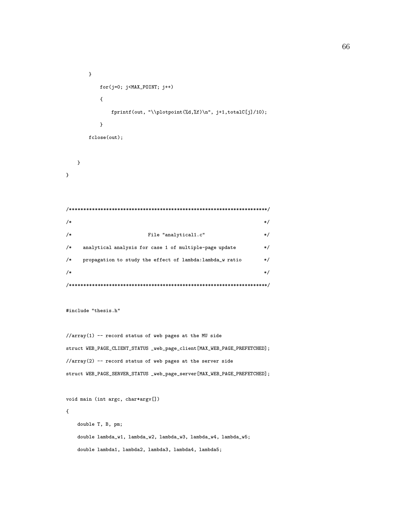```
}
        for(j=0; j<MAX_POINT; j++)
         {
           fprintf(out, "\\plotpoint(%d,%f)\n", j+1,totalC[j]/10);
         }
     fclose(out);
  }
}
/**********************************************************************/
\frac{1}{\sqrt{2}} /* \frac{1}{\sqrt{2}} /*
/* File "analytical1.c" * /
/* analytical analysis for case 1 of multiple-page update */
/* propagation to study the effect of lambda:lambda_w ratio */
\sqrt{*} */
/**********************************************************************/
```

```
#include "thesis.h"
```

```
//array(1) -- record status of web pages at the MU sidestruct WEB_PAGE_CLIENT_STATUS _web_page_client[MAX_WEB_PAGE_PREFETCHED];
//array(2) -- record status of web pages at the server side
struct WEB_PAGE_SERVER_STATUS _web_page_server[MAX_WEB_PAGE_PREFETCHED];
```

```
void main (int argc, char*argv[])
{
   double T, B, pm;
   double lambda_w1, lambda_w2, lambda_w3, lambda_w4, lambda_w5;
   double lambda1, lambda2, lambda3, lambda4, lambda5;
```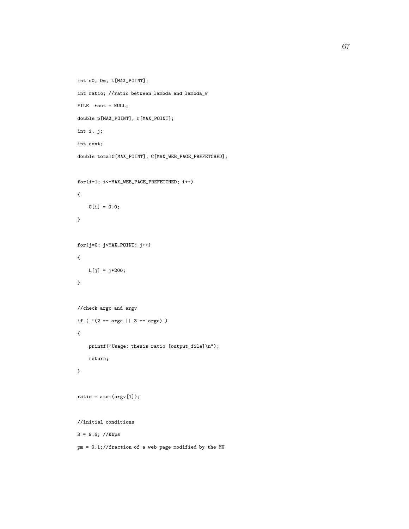```
int s0, Dm, L[MAX_POINT];
int ratio; //ratio between lambda and lambda_w
FILE *out = NULL;
double p[MAX_POINT], r[MAX_POINT];
int i, j;
int cont;
double totalC[MAX_POINT], C[MAX_WEB_PAGE_PREFETCHED];
for(i=1; i<=MAX_WEB_PAGE_PREFETCHED; i++)
{
    C[i] = 0.0;}
for(j=0; j<MAX_POINT; j++)
{
   L[j] = j*200;
}
//check argc and argv
if ( !(2 == \arg c || 3 == \arg c) ){
    printf("Usage: thesis ratio [output_file]\n");
    return;
}
ratio = atoi(argv[1]);
//initial conditions
B = 9.6; //kbps
```
pm = 0.1;//fraction of a web page modified by the MU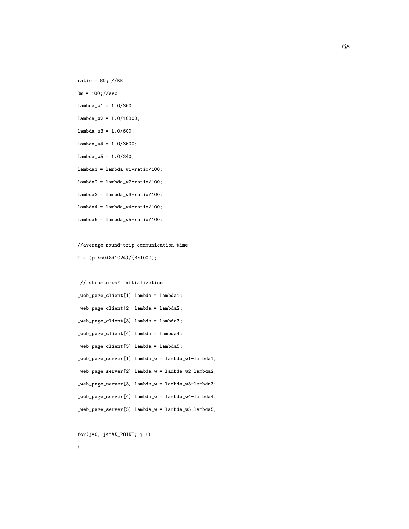ratio = 80; //KB

 $Dm = 100; // sec$ 

 $lambda_w1 = 1.0/360;$ 

 $lambda_w2 = 1.0/10800;$ 

- lambda\_w3 = 1.0/600;
- $lambda_w4 = 1.0/3600;$
- $lambda_w5 = 1.0/240;$
- $lambda =$  lambda\_w1\*ratio/100;
- $lambda2 =$  lambda\_w2\*ratio/100;

 $lambda3 =$  lambda\_w3\*ratio/100;

 $lambda4 =$  lambda\_w4\*ratio/100;

 $lambda5 =$  lambda\_w5\*ratio/100;

//average round-trip communication time

```
T = (pm*s0*8*1024)/(B*1000);
```

```
// structures' initialization
_web_page_client[1].lambda = lambda1;
_web_page_client[2].lambda = lambda2;
_web_page_client[3].lambda = lambda3;
_web_page_client[4].lambda = lambda4;
_web_page_client[5].lambda = lambda5;
_web_page_server[1].lambda_w = lambda_w1-lambda1;
_web_page_server[2].lambda_w = lambda_w2-lambda2;
_web_page_server[3].lambda_w = lambda_w3-lambda3;
_web_page_server[4].lambda_w = lambda_w4-lambda4;
_web_page_server[5].lambda_w = lambda_w5-lambda5;
```
for(j=0; j<MAX\_POINT; j++)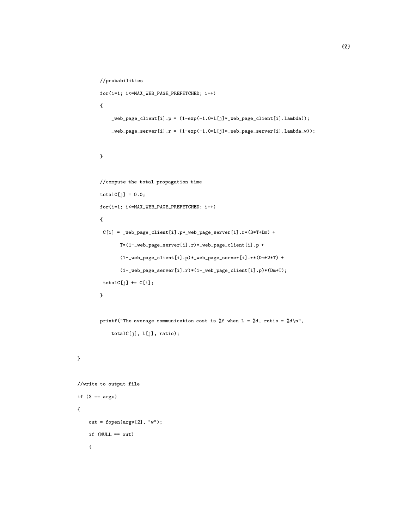```
//probabilities
        for(i=1; i<=MAX_WEB_PAGE_PREFETCHED; i++)
        {
            \verb|web-page_client[i].p = (1-exp(-1.0*L[j]*_web\_page_client[i].lambda));_web_page_server[i].r = (1-exp(-1.0*L[j]*_web_page_server[i].lambda_w));
        }
        //compute the total propagation time
        totalC[j] = 0.0;for(i=1; i<=MAX_WEB_PAGE_PREFETCHED; i++)
        {
         C[i] = \text{web-page\_client}[i].p*.web\_page\_server[i].r*(3*T+Dm) +T*(1-_web_page_server[i].r)*_web_page_client[i].p +
               (1-_web_page_client[i].p)*_web_page_server[i].r*(Dm+2*T) +
               (1-_web_page_server[i].r)*(1-_web_page_client[i].p)*(Dm+T);
         totalC[j] += C[i];
        }
        printf("The average communication cost is %f when L = %d, ratio = %d\n",
            totalC[j], L[j], ratio);
//write to output file
if (3 == argc)out = fopen(argv[2], "w");
```

```
{
```
if (NULL == out)

}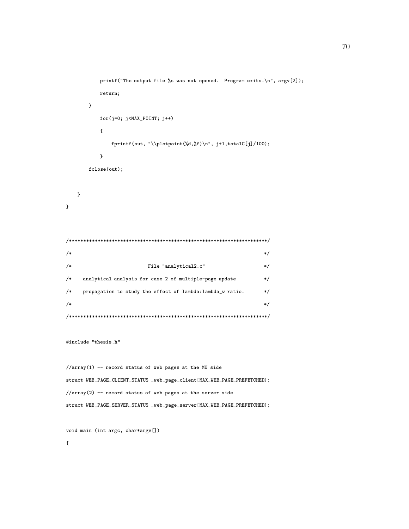```
printf("The output file %s was not opened. Program exits.\n", argv[2]);
         return;
      }
         for(j=0; j<MAX_POINT; j++)
         {
            fprintf(out, "\\plotpoint(%d,%f)\n", j+1,totalC[j]/100);
         }
      fclose(out);
  }
}
/**********************************************************************/
\frac{1}{\sqrt{2}} /* \frac{1}{\sqrt{2}} /*
/* File "analytical2.c" */
/* analytical analysis for case 2 of multiple-page update */
/* propagation to study the effect of lambda:lambda_w ratio. */
\frac{1}{\sqrt{2}} /*
/**********************************************************************/
#include "thesis.h"
```
//array(1) -- record status of web pages at the MU side struct WEB\_PAGE\_CLIENT\_STATUS \_web\_page\_client[MAX\_WEB\_PAGE\_PREFETCHED]; //array(2) -- record status of web pages at the server side struct WEB\_PAGE\_SERVER\_STATUS \_web\_page\_server[MAX\_WEB\_PAGE\_PREFETCHED];

void main (int argc, char\*argv[])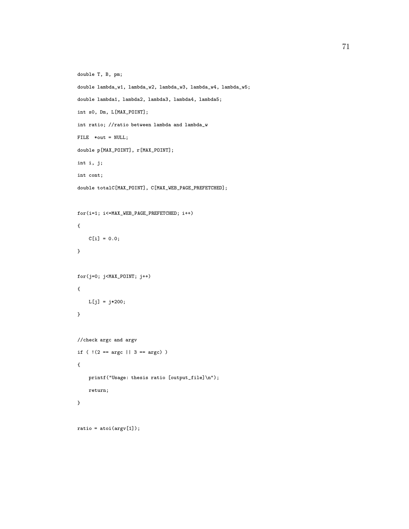```
double T, B, pm;
double lambda_w1, lambda_w2, lambda_w3, lambda_w4, lambda_w5;
double lambda1, lambda2, lambda3, lambda4, lambda5;
int s0, Dm, L[MAX_POINT];
int ratio; //ratio between lambda and lambda_w
FILE *out = NULL;
double p[MAX_POINT], r[MAX_POINT];
int i, j;
int cont;
double totalC[MAX_POINT], C[MAX_WEB_PAGE_PREFETCHED];
for(i=1; i<=MAX_WEB_PAGE_PREFETCHED; i++)
{
    C[i] = 0.0;}
for(j=0; j<MAX_POINT; j++){
   L[j] = j*200;
}
//check argc and argv
if ( |(2 == \arg c || 3 == \arg c) )
{
    printf("Usage: thesis ratio [output_file]\n");
    return;
}
ratio = atoi(argv[1]);
```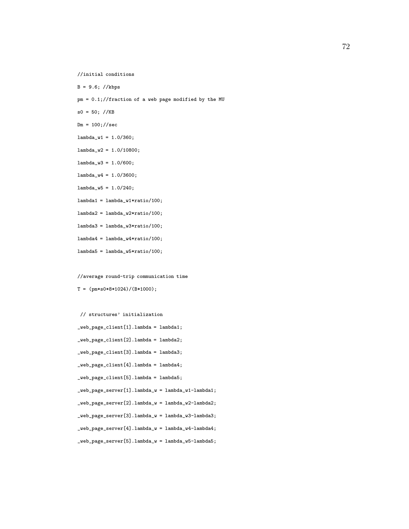```
//initial conditions
```
B = 9.6; //kbps

pm = 0.1;//fraction of a web page modified by the MU

 $s0 = 50; //KB$ 

 $Dm = 100; // sec$ 

- $lambda_w1 = 1.0/360;$
- $lambda_w2 = 1.0/10800;$
- $lambda_w3 = 1.0/600;$
- $lambda_w4 = 1.0/3600;$
- lambda\_w5 = 1.0/240;
- $lambda1 = lambda_w1*ratio/100;$
- $lambda2 =$  lambda\_w2\*ratio/100;
- $lambda3 =$  lambda\_w3\*ratio/100;
- $lambda4 =$  lambda\_w4\*ratio/100;
- $lambda5 =$  lambda\_w5\*ratio/100;
- //average round-trip communication time
- $T = (pm*so*8*1024)/(B*1000);$

```
// structures' initialization
_web_page_client[1].lambda = lambda1;
_web_page_client[2].lambda = lambda2;
_web_page_client[3].lambda = lambda3;
_web_page_client[4].lambda = lambda4;
_web_page_client[5].lambda = lambda5;
_web_page_server[1].lambda_w = lambda_w1-lambda1;
_web_page_server[2].lambda_w = lambda_w2-lambda2;
_web_page_server[3].lambda_w = lambda_w3-lambda3;
_web_page_server[4].lambda_w = lambda_w4-lambda4;
_web_page_server[5].lambda_w = lambda_w5-lambda5;
```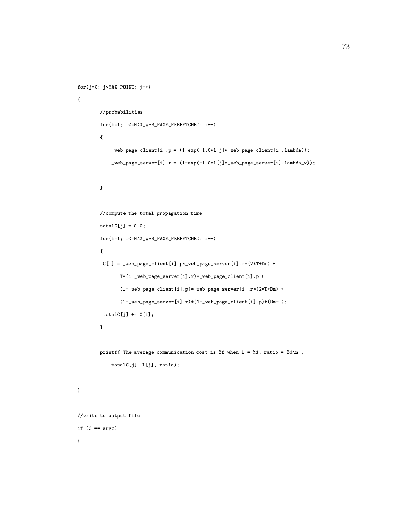```
for(j=0; j<MAX_POINT; j++)
{
        //probabilities
        for(i=1; i<=MAX_WEB_PAGE_PREFETCHED; i++)
        {
            \verb|web-page_client[i].p = (1-exp(-1.0*L[j]*_web\_page_client[i].lambda));_web_page_server[i].r = (1-exp(-1.0*L[j]*_web_page_server[i].lambda_w));
        }
        //compute the total propagation time
        totalC[j] = 0.0;for(i=1; i<=MAX_WEB_PAGE_PREFETCHED; i++)
        {
         C[i] = \text{web\_page\_client}[i].p * \text{web\_page\_server}[i].r * (2 * T + Dm) +
               T*(1-_web_page_server[i].r)*_web_page_client[i].p +
                (1-_web_page_client[i].p)*_web_page_server[i].r*(2*T+Dm) +
                (1-_web_page_server[i].r)*(1-_web_page_client[i].p)*(Dm+T);
         totalC[j] += C[i];
        }
        printf("The average communication cost is %f when L = %d, ratio = %d\n",
            totalC[j], L[j], ratio);
}
//write to output file
if (3 == argc){
```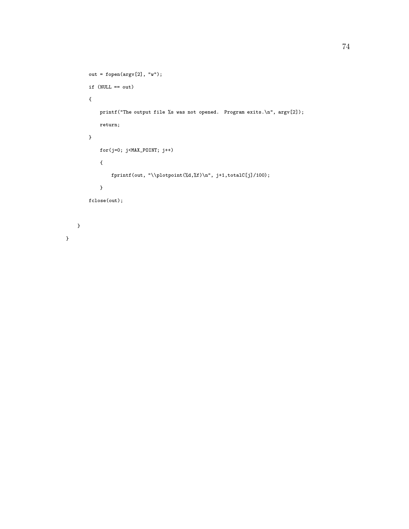```
out = fopen(argv[2], "w");
     if (NULL == out)
     {
         printf("The output file %s was not opened. Program exits.\n", argv[2]);
         return;
     }
         for(j=0; j<MAX_POINT; j++)
         {
             fprintf(out, "\\plotpoint(%d,%f)\n", j+1,totalC[j]/100);
         }
     fclose(out);
}
```

```
}
```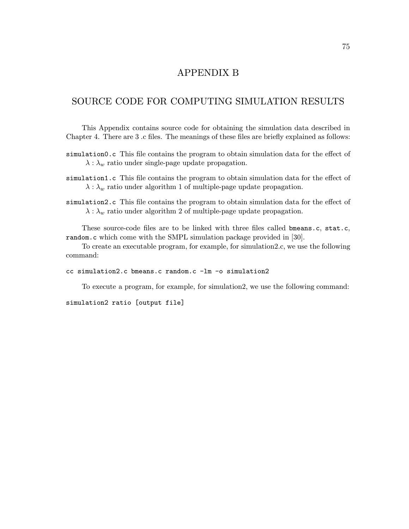## APPENDIX B

## SOURCE CODE FOR COMPUTING SIMULATION RESULTS

This Appendix contains source code for obtaining the simulation data described in Chapter 4. There are 3 .c files. The meanings of these files are briefly explained as follows:

- simulation0.c This file contains the program to obtain simulation data for the effect of  $\lambda : \lambda_w$  ratio under single-page update propagation.
- simulation1.c This file contains the program to obtain simulation data for the effect of  $\lambda : \lambda_w$  ratio under algorithm 1 of multiple-page update propagation.
- simulation2.c This file contains the program to obtain simulation data for the effect of  $\lambda : \lambda_w$  ratio under algorithm 2 of multiple-page update propagation.

These source-code files are to be linked with three files called bmeans.c, stat.c, random.c which come with the SMPL simulation package provided in [30].

To create an executable program, for example, for simulation2.c, we use the following command:

## cc simulation2.c bmeans.c random.c -lm -o simulation2

To execute a program, for example, for simulation2, we use the following command:

simulation2 ratio [output file]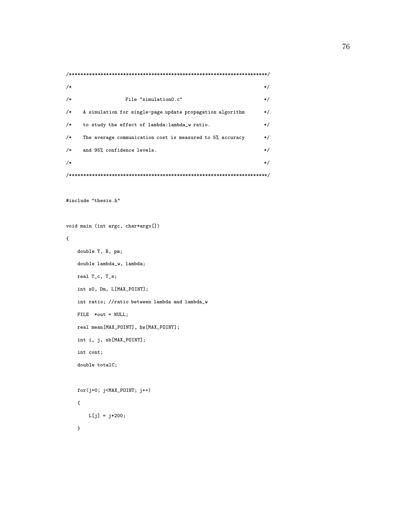```
/**********************************************************************/
\frac{1}{\sqrt{2}} /*
/* File "simulation0.c" * */
/* A simulation for single-page update propagation algorithm */
/* to study the effect of lambda:lambda_w ratio. *//* The average communication cost is measured to 5% accuracy */
/* and 95% confidence levels. */\frac{1}{\sqrt{2}} /* \frac{1}{\sqrt{2}} /*
/**********************************************************************/
```

```
#include "thesis.h"
```
{

void main (int argc, char\*argv[])

```
double T, B, pm;
double lambda_w, lambda;
real T_c, T_s;
int s0, Dm, L[MAX_POINT];
int ratio; //ratio between lambda and lambda_w
FILE *out = NULL;
real mean[MAX_POINT], hw[MAX_POINT];
int i, j, nb[MAX_POINT];
int cont;
double totalC;
for(j=0; j<MAX_POLNT; j++){
```

```
L[j] = j*200;
```

```
}
```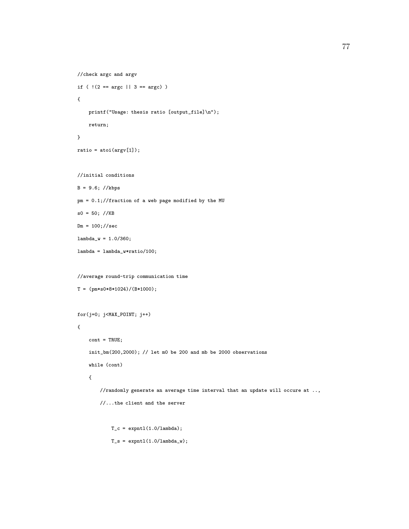```
//check argc and argv
if ( |(2 == \arg c || 3 == \arg c) )
{
    printf("Usage: thesis ratio [output_file]\n");
    return;
}
ratio = atoi(argv[1]);//initial conditions
B = 9.6; //kbps
pm = 0.1;//fraction of a web page modified by the MU
s0 = 50; //KBDm = 100; // seclambda_w = 1.0/360;lambda = lambda_w*ratio/100;
//average round-trip communication time
T = (pm*s0*8*1024)/(B*1000);for(j=0; j<MAX_POINT; j++)
{
    cont = TRUE;
    init_bm(200,2000); // let m0 be 200 and mb be 2000 observations
    while (cont)
    {
        //randomly generate an average time interval that an update will occure at ..,
        //...the client and the server
```
 $T_c = \text{exptl}(1.0/\text{lambda})$ ;  $T_s = \text{exptl}(1.0/\text{lambda}_w);$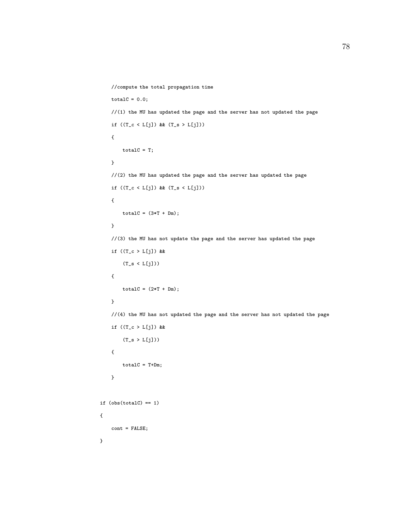```
//compute the total propagation time
   totalC = 0.0;//(1) the MU has updated the page and the server has not updated the page
   if ((T_c c < L[j]) && (T_s > L[j])){
       totalC = T;}
   //(2) the MU has updated the page and the server has updated the page
   if ((T_c < L[j]) & (T_s < L[j])){
       totalC = (3*T + Dm);}
   //(3) the MU has not update the page and the server has updated the page
   if ((T_c > L[j]) &&
       (T_s < L[j])){
       totalC = (2*T + Dm);}
   //(4) the MU has not updated the page and the server has not updated the page
   if ((T_c > L[j]) &&
       (T_s > L[j]))\mathfrak{t}totalC = T+Dm;}
if (obs(totalC) == 1){
   cont = FALSE;
```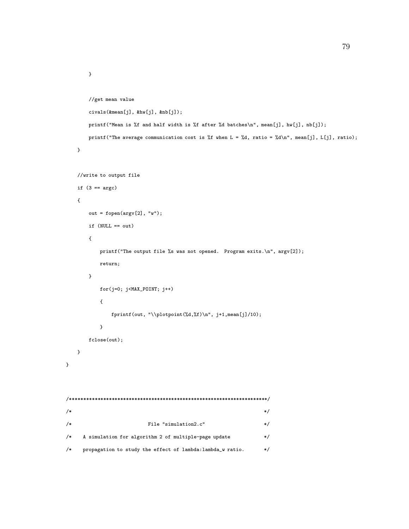```
}
       //get mean value
       civals(&mean[j], &hw[j], &nb[j]);
       printf("Mean is %f and half width is %f after %d batches\n", mean[j], hw[j], nb[j]);
       printf("The average communication cost is %f when L = %d, ratio = %d\n", mean[j], L[j], ratio);
   }
   //write to output file
   if (3 == argc){
       out = fopen(argv[2], "w");
       if (NULL == out){
          printf("The output file %s was not opened. Program exits.\n", argv[2]);
          return;
       }
          for(j=0; j<MAX_POINT; j++)
          {
              fprintf(out, "\\plotpoint(%d,%f)\n", j+1,mean[j]/10);
          }
       fclose(out);
   }
/**********************************************************************/
\frac{1}{\sqrt{2}} /* \frac{1}{\sqrt{2}} /*
/* File "simulation2.c" */* A simulation for algorithm 2 of multiple-page update */
/* propagation to study the effect of lambda:lambda_w ratio. */
```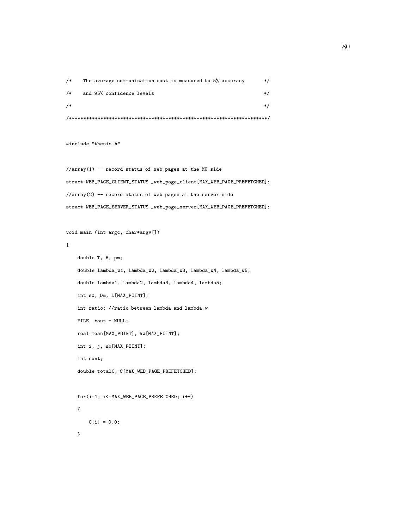| $/*$ |                                                           |          |  |
|------|-----------------------------------------------------------|----------|--|
| $/*$ | and 95% confidence levels                                 |          |  |
| $/*$ | The average communication cost is measured to 5% accuracy | $\ast$ / |  |

#include "thesis.h"

//array(1) -- record status of web pages at the MU side struct WEB\_PAGE\_CLIENT\_STATUS \_web\_page\_client[MAX\_WEB\_PAGE\_PREFETCHED]; //array(2) -- record status of web pages at the server side struct WEB\_PAGE\_SERVER\_STATUS \_web\_page\_server[MAX\_WEB\_PAGE\_PREFETCHED];

```
void main (int argc, char*argv[])
```
{

```
double T, B, pm;
double lambda_w1, lambda_w2, lambda_w3, lambda_w4, lambda_w5;
double lambda1, lambda2, lambda3, lambda4, lambda5;
int s0, Dm, L[MAX_POINT];
int ratio; //ratio between lambda and lambda_w
FILE *out = NULL;
real mean[MAX_POINT], hw[MAX_POINT];
int i, j, nb[MAX_POINT];
int cont;
double totalC, C[MAX_WEB_PAGE_PREFETCHED];
for(i=1; i<=MAX_WEB_PAGE_PREFETCHED; i++)
{
    C[i] = 0.0;
```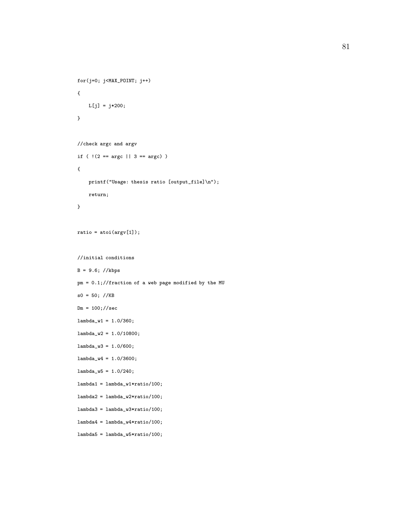```
for(j=0; j<MAX_POINT; j++)
{
   L[j] = j*200;}
//check argc and argv
if ( !(2 == \arg c || 3 == \arg c) ){
    printf("Usage: thesis ratio [output_file]\n");
    return;
}
ratio = atoi(argv[1]);//initial conditions
B = 9.6; //kbps
pm = 0.1;//fraction of a web page modified by the MU
s0 = 50; //KBDm = 100; // seclambda_w1 = 1.0/360;
lambda_w2 = 1.0/10800;
lambda_w3 = 1.0/600;lambda_w4 = 1.0/3600;lambda_w5 = 1.0/240;
lambda = lambda_w1*ratio/100;
lambda2 = lambda_w2*ratio/100;
lambda3 = lambda_w3*ratio/100;
lambda4 = lambda_w4*ratio/100;
lambda5 = lambda_w5*ratio/100;
```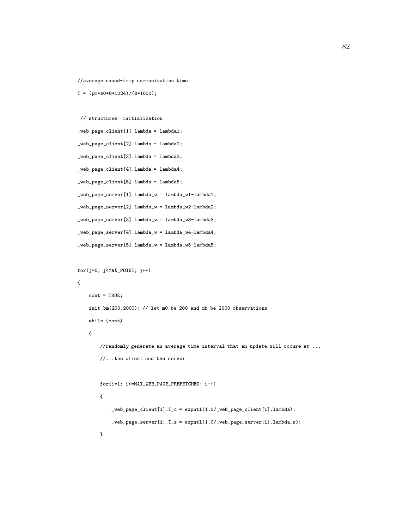//average round-trip communication time

```
T = (pm*so*8*1024)/(B*1000);
```

```
// structures' initialization
_web_page_client[1].lambda = lambda1;
_web_page_client[2].lambda = lambda2;
_web_page_client[3].lambda = lambda3;
_web_page_client[4].lambda = lambda4;
_web_page_client[5].lambda = lambda5;
_web_page_server[1].lambda_w = lambda_w1-lambda1;
_web_page_server[2].lambda_w = lambda_w2-lambda2;
_web_page_server[3].lambda_w = lambda_w3-lambda3;
_web_page_server[4].lambda_w = lambda_w4-lambda4;
_web_page_server[5].lambda_w = lambda_w5-lambda5;
```

```
for(j=0; j<MAX_POINT; j++)
{
    \text{cont} = \text{TRUE};
    init_bm(200,2000); // let m0 be 200 and mb be 2000 observations
    while (cont)
    {
        //randomly generate an average time interval that an update will occure at ..,
        //...the client and the server
```

```
for(i=1; i<=MAX_WEB_PAGE_PREFETCHED; i++)
{
    _web_page_client[i].T_c = expntl(1.0/_web_page_client[i].lambda);
    _web_page_server[i].T_s = expntl(1.0/_web_page_server[i].lambda_w);
}
```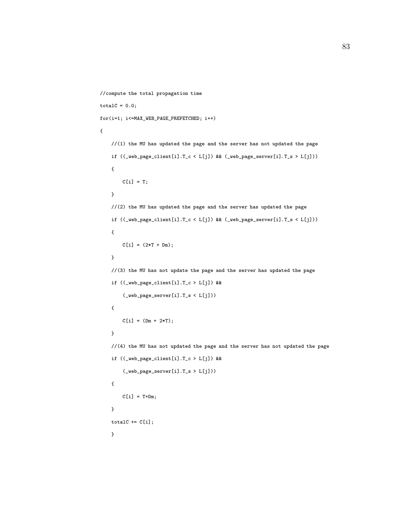```
//compute the total propagation time
totalC = 0.0;for(i=1; i<=MAX_WEB_PAGE_PREFETCHED; i++)
{
   //(1) the MU has updated the page and the server has not updated the page
   if ((_web_page_client[i].T_c < L[j]) && (_web_page_server[i].T_s > L[j]))
    {
        C[i] = T;}
   //(2) the MU has updated the page and the server has updated the page
   <code>if ((_web_page_client[i].T_c < L[j])</code> && (_web_page_server[i].T_s < L[j]))
    {
       C[i] = (2*T + Dm);}
   //(3) the MU has not update the page and the server has updated the page
   if ((_web_page_client[i].T_c > L[j]) &&
        (_web_page_server[i].T_s < L[j]))
   {
        C[i] = (Dm + 2*T);}
   //(4) the MU has not updated the page and the server has not updated the page
   if ((_web_page_client[i].T_c > L[j]) &&
        (\verb|_web-page_server[i].T_s > L[j])){
       C[i] = T+Dm;}
   totalC += C[i];}
```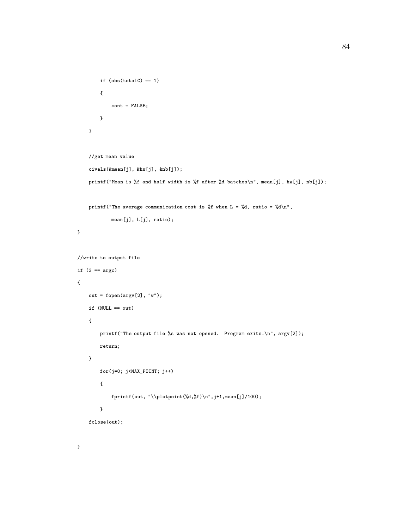```
if (obs(totalC) == 1){
            cont = FALSE;}
    }
    //get mean value
    civals(&mean[j], &hw[j], &nb[j]);
    printf("Mean is %f and half width is %f after %d batches\n", mean[j], hw[j], nb[j]);
    printf("The average communication cost is %f when L = \%d, ratio = %d\n",
           mean[j], L[j], ratio);
}
//write to output file
if (3 == argc){
    out = fopen(argv[2], "w");
    if (NULL == out)
    {
        printf("The output file %s was not opened. Program exits.\n", argv[2]);
        return;
    }
        for(j=0; j<MAX_POINT; j++)
        {
            fprintf(out, "\\plotpoint(%d,%f)\n",j+1,mean[j]/100);
        }
    fclose(out);
```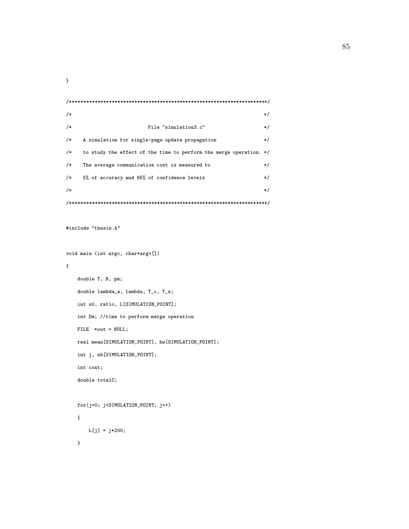| $/*$                              |                                                                    | */      |  |
|-----------------------------------|--------------------------------------------------------------------|---------|--|
| $/$ *                             | File "simulation3.c"                                               | */      |  |
| $/*$                              | A simulation for single-page update propagation                    | $\ast/$ |  |
| $/*$                              | to study the effect of the time to perform the merge operation. */ |         |  |
| $/*$                              | The average communication cost is measured to                      | $\ast/$ |  |
| $/*$                              | 5% of accuracy and 95% of confidence levels                        | $\ast/$ |  |
| $/*$                              |                                                                    | $\ast/$ |  |
|                                   |                                                                    |         |  |
| #include "thesis.h"               |                                                                    |         |  |
| void main (int argc, char*argv[]) |                                                                    |         |  |
| ſ                                 |                                                                    |         |  |

```
double T, B, pm;
double lambda_w, lambda, T_c, T_s;
int s0, ratio, L[SIMULATION_POINT];
int Dm; //time to perform merge operation
FILE *out = NULL;
real mean[SIMULATION_POINT], hw[SIMULATION_POINT];
int j, nb[SIMULATION_POINT];
int cont;
double totalC;
for(j=0; j<SIMULATION_POINT; j++)
{
   L[j] = j*200;
```

```
}
```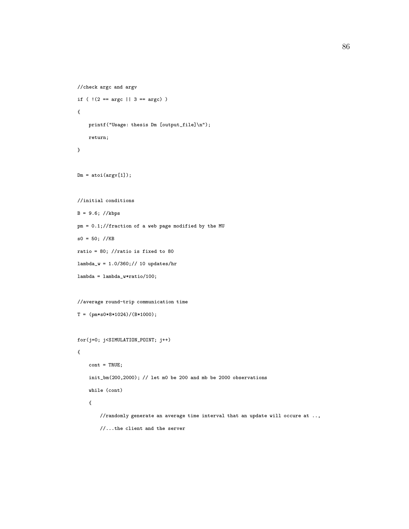```
//check argc and argv
if ( |(2 == \arg c || 3 == \arg c) )
{
    printf("Usage: thesis Dm [output_file]\n");
    return;
}
Dm = \text{atoi}(\text{argv}[1]);//initial conditions
B = 9.6; //kbps
pm = 0.1;//fraction of a web page modified by the MU
s0 = 50; //KBratio = 80; //ratio is fixed to 80
lambda_w = 1.0/360;// 10 updates/hr
lambda = lambda_w*ratio/100;
//average round-trip communication time
T = (pm*50*8*1024)/(B*1000);for(j=0; j<SIMULATION_POINT; j++)
{
    \text{cont} = \text{TRUE};init_bm(200,2000); // let m0 be 200 and mb be 2000 observations
    while (cont)
    {
        //randomly generate an average time interval that an update will occure at ..,
        //...the client and the server
```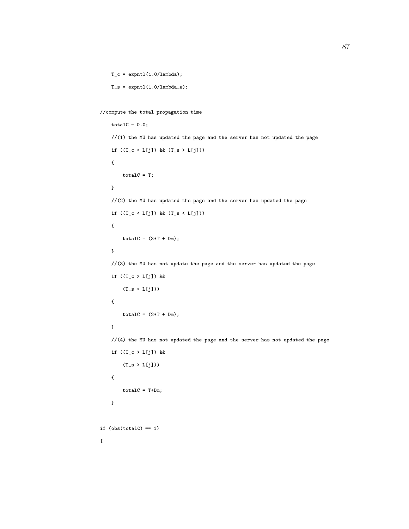```
T_c = \text{exptl}(1.0/\text{lambda});
T_s = \text{exptl}(1.0/\text{lambda}_w);
```

```
//compute the total propagation time
```

```
totalC = 0.0;//(1) the MU has updated the page and the server has not updated the page
   if ((T_c < L[j]) && (T_s > L[j])){
       totalC = T;
   }
   //(2) the MU has updated the page and the server has updated the page
   if ((T_c < L[j]) && (T_s < L[j])){
       totalC = (3*T + Dm);}
   //(3) the MU has not update the page and the server has updated the page
   if ((T_c > L[j]) &&
       (T_s < L[j])){
       totalC = (2*T + Dm);}
   //(4) the MU has not updated the page and the server has not updated the page
   if ((T_c > L[j]) &&
       (T_s > L[j])){
       totalC = T+Dm;}
if (obs(totalC) == 1)
```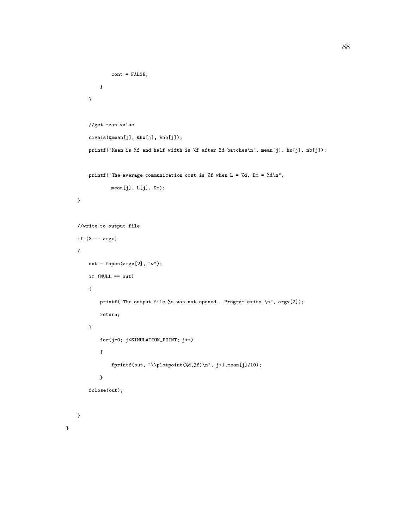```
cont = FALSE;}
    }
    //get mean value
    civals(&mean[j], &hw[j], &nb[j]);
    printf("Mean is %f and half width is %f after %d batches\n", mean[j], hw[j], nb[j]);
    printf("The average communication cost is %f when L = %d, Dm = %d \n\pi",
            mean[j], L[j], Dm);
}
//write to output file
if (3 == argc){
    out = fopen(argv[2], "w");
    if (NULL == out)
    {
        printf("The output file %s was not opened. Program exits.\n", argv[2]);
        return;
    }
        for(j=0; j<SIMULATION_POINT; j++)
        {
            fprintf(out, "\\plotpoint(%d,%f)\n", j+1,mean[j]/10);
        }
    fclose(out);
}
```